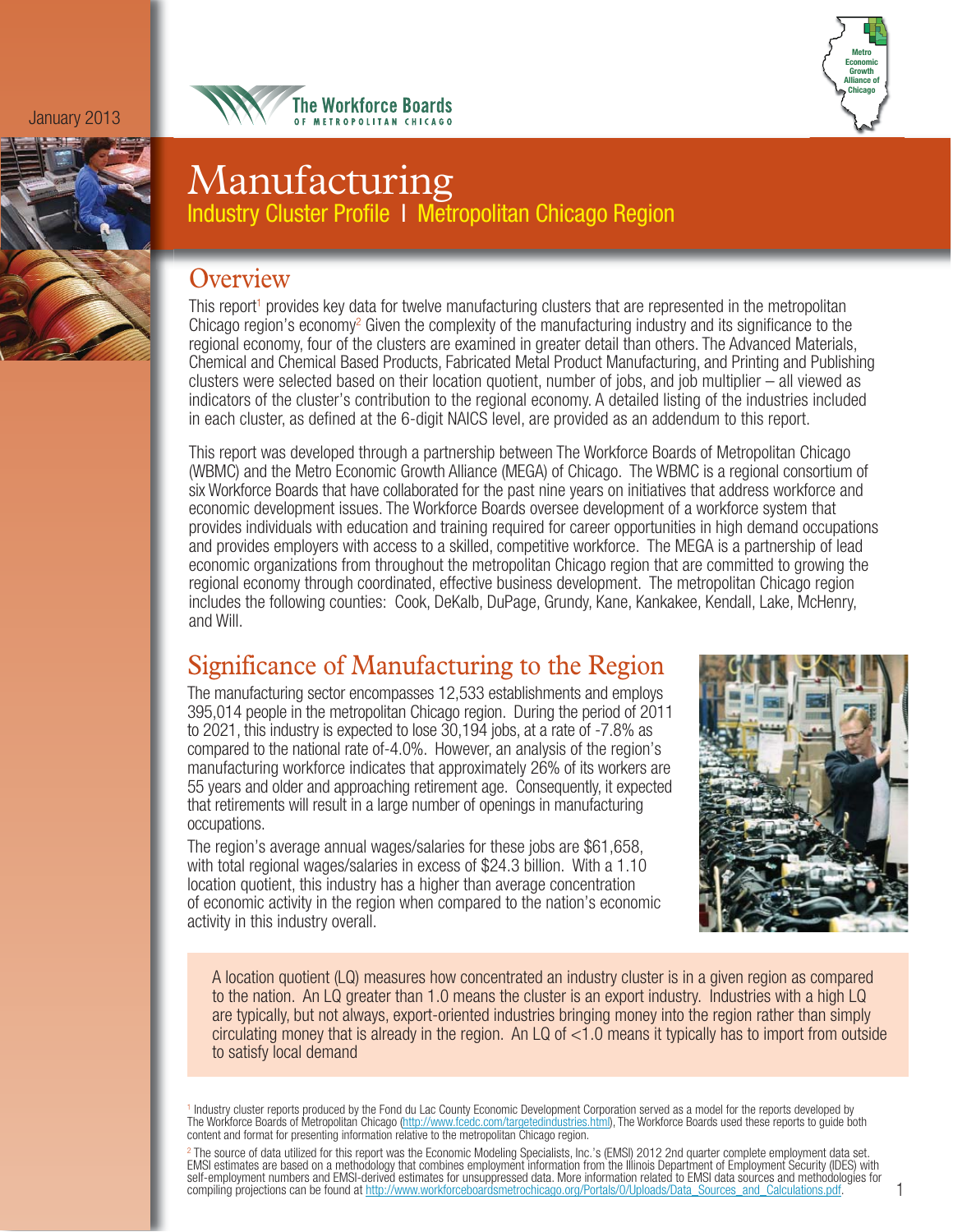January 2013





# Manufacturing Industry Cluster Profile I Metropolitan Chicago Region

**The Workforce Boards** OF METROPOLITAN CHICAGO

# **Overview**

This report<sup>1</sup> provides key data for twelve manufacturing clusters that are represented in the metropolitan Chicago region's economy<sup>2</sup> Given the complexity of the manufacturing industry and its significance to the regional economy, four of the clusters are examined in greater detail than others. The Advanced Materials, Chemical and Chemical Based Products, Fabricated Metal Product Manufacturing, and Printing and Publishing clusters were selected based on their location quotient, number of jobs, and job multiplier – all viewed as indicators of the cluster's contribution to the regional economy. A detailed listing of the industries included in each cluster, as defined at the 6-digit NAICS level, are provided as an addendum to this report.

This report was developed through a partnership between The Workforce Boards of Metropolitan Chicago (WBMC) and the Metro Economic Growth Alliance (MEGA) of Chicago. The WBMC is a regional consortium of six Workforce Boards that have collaborated for the past nine years on initiatives that address workforce and economic development issues. The Workforce Boards oversee development of a workforce system that provides individuals with education and training required for career opportunities in high demand occupations and provides employers with access to a skilled, competitive workforce. The MEGA is a partnership of lead economic organizations from throughout the metropolitan Chicago region that are committed to growing the regional economy through coordinated, effective business development. The metropolitan Chicago region includes the following counties: Cook, DeKalb, DuPage, Grundy, Kane, Kankakee, Kendall, Lake, McHenry, and Will.

# Significance of Manufacturing to the Region

The manufacturing sector encompasses 12,533 establishments and employs 395,014 people in the metropolitan Chicago region. During the period of 2011 to 2021, this industry is expected to lose 30,194 jobs, at a rate of -7.8% as compared to the national rate of-4.0%. However, an analysis of the region's manufacturing workforce indicates that approximately 26% of its workers are 55 years and older and approaching retirement age. Consequently, it expected that retirements will result in a large number of openings in manufacturing occupations.

The region's average annual wages/salaries for these jobs are \$61,658, with total regional wages/salaries in excess of \$24.3 billion. With a 1.10 location quotient, this industry has a higher than average concentration of economic activity in the region when compared to the nation's economic activity in this industry overall.



A location quotient (LQ) measures how concentrated an industry cluster is in a given region as compared to the nation. An LQ greater than 1.0 means the cluster is an export industry. Industries with a high LQ are typically, but not always, export-oriented industries bringing money into the region rather than simply circulating money that is already in the region. An LQ of <1.0 means it typically has to import from outside to satisfy local demand

<sup>&</sup>lt;sup>1</sup> Industry cluster reports produced by the Fond du Lac County Economic Development Corporation served as a model for the reports developed by The Workforce Boards of Metropolitan Chicago (http://www.fcedc.com/targetedindustries.html), The Workforce Boards used these reports to guide both content and format for presenting information relative to the metropolitan Chicago region.

<sup>&</sup>lt;sup>2</sup> The source of data utilized for this report was the Economic Modeling Specialists, Inc.'s (EMSI) 2012 2nd quarter complete employment data set. EMSI estimates are based on a methodology that combines employment information from the Illinois Department of Employment Security (IDES) with self-employment numbers and EMSI-derived estimates for unsuppressed data. More information related to EMSI data sources and methodologies for compiling projections can be found at http://www.workforceboardsmetrochicago.org/Portals/0/Uploads/Data\_Sources\_and\_Calculations.pdf.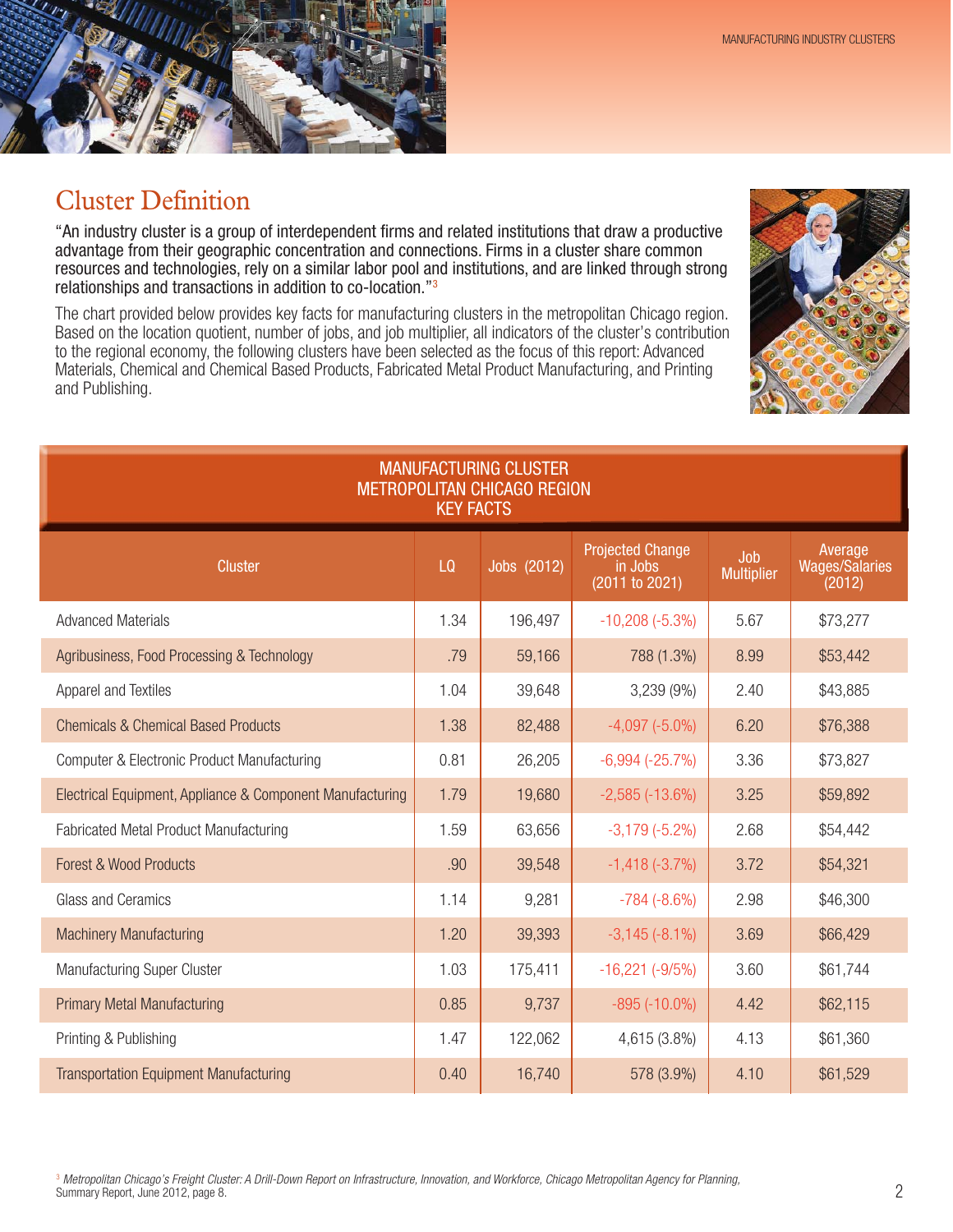

# Cluster Definition

"An industry cluster is a group of interdependent firms and related institutions that draw a productive advantage from their geographic concentration and connections. Firms in a cluster share common resources and technologies, rely on a similar labor pool and institutions, and are linked through strong relationships and transactions in addition to co-location."3

The chart provided below provides key facts for manufacturing clusters in the metropolitan Chicago region. Based on the location quotient, number of jobs, and job multiplier, all indicators of the cluster's contribution to the regional economy, the following clusters have been selected as the focus of this report: Advanced Materials, Chemical and Chemical Based Products, Fabricated Metal Product Manufacturing, and Printing and Publishing.



## MANUFACTURING CLUSTER METROPOLITAN CHICAGO REGION KEY FACTS

| <b>Cluster</b>                                            | LQ   | Jobs (2012) | <b>Projected Change</b><br>in Jobs<br>(2011 to 2021) | Job<br><b>Multiplier</b> | Average<br><b>Wages/Salaries</b><br>(2012) |
|-----------------------------------------------------------|------|-------------|------------------------------------------------------|--------------------------|--------------------------------------------|
| <b>Advanced Materials</b>                                 | 1.34 | 196,497     | $-10,208(-5.3%)$                                     | 5.67                     | \$73,277                                   |
| Agribusiness, Food Processing & Technology                | .79  | 59,166      | 788 (1.3%)                                           | 8.99                     | \$53,442                                   |
| <b>Apparel and Textiles</b>                               | 1.04 | 39,648      | 3,239 (9%)                                           | 2.40                     | \$43,885                                   |
| <b>Chemicals &amp; Chemical Based Products</b>            | 1.38 | 82,488      | $-4,097$ $(-5.0\%)$                                  | 6.20                     | \$76,388                                   |
| Computer & Electronic Product Manufacturing               | 0.81 | 26,205      | $-6,994 (-25.7%)$                                    | 3.36                     | \$73,827                                   |
| Electrical Equipment, Appliance & Component Manufacturing | 1.79 | 19,680      | $-2,585(-13.6%)$                                     | 3.25                     | \$59,892                                   |
| <b>Fabricated Metal Product Manufacturing</b>             | 1.59 | 63,656      | $-3,179(-5.2%)$                                      | 2.68                     | \$54,442                                   |
| <b>Forest &amp; Wood Products</b>                         | .90  | 39,548      | $-1,418(-3.7%)$                                      | 3.72                     | \$54,321                                   |
| <b>Glass and Ceramics</b>                                 | 1.14 | 9,281       | $-784 (-8.6%)$                                       | 2.98                     | \$46,300                                   |
| <b>Machinery Manufacturing</b>                            | 1.20 | 39,393      | $-3,145(-8.1\%)$                                     | 3.69                     | \$66,429                                   |
| Manufacturing Super Cluster                               | 1.03 | 175,411     | $-16,221$ $(-9/5%)$                                  | 3.60                     | \$61,744                                   |
| <b>Primary Metal Manufacturing</b>                        | 0.85 | 9,737       | $-895$ ( $-10.0\%$ )                                 | 4.42                     | \$62,115                                   |
| Printing & Publishing                                     | 1.47 | 122,062     | 4,615 (3.8%)                                         | 4.13                     | \$61,360                                   |
| <b>Transportation Equipment Manufacturing</b>             | 0.40 | 16,740      | 578 (3.9%)                                           | 4.10                     | \$61,529                                   |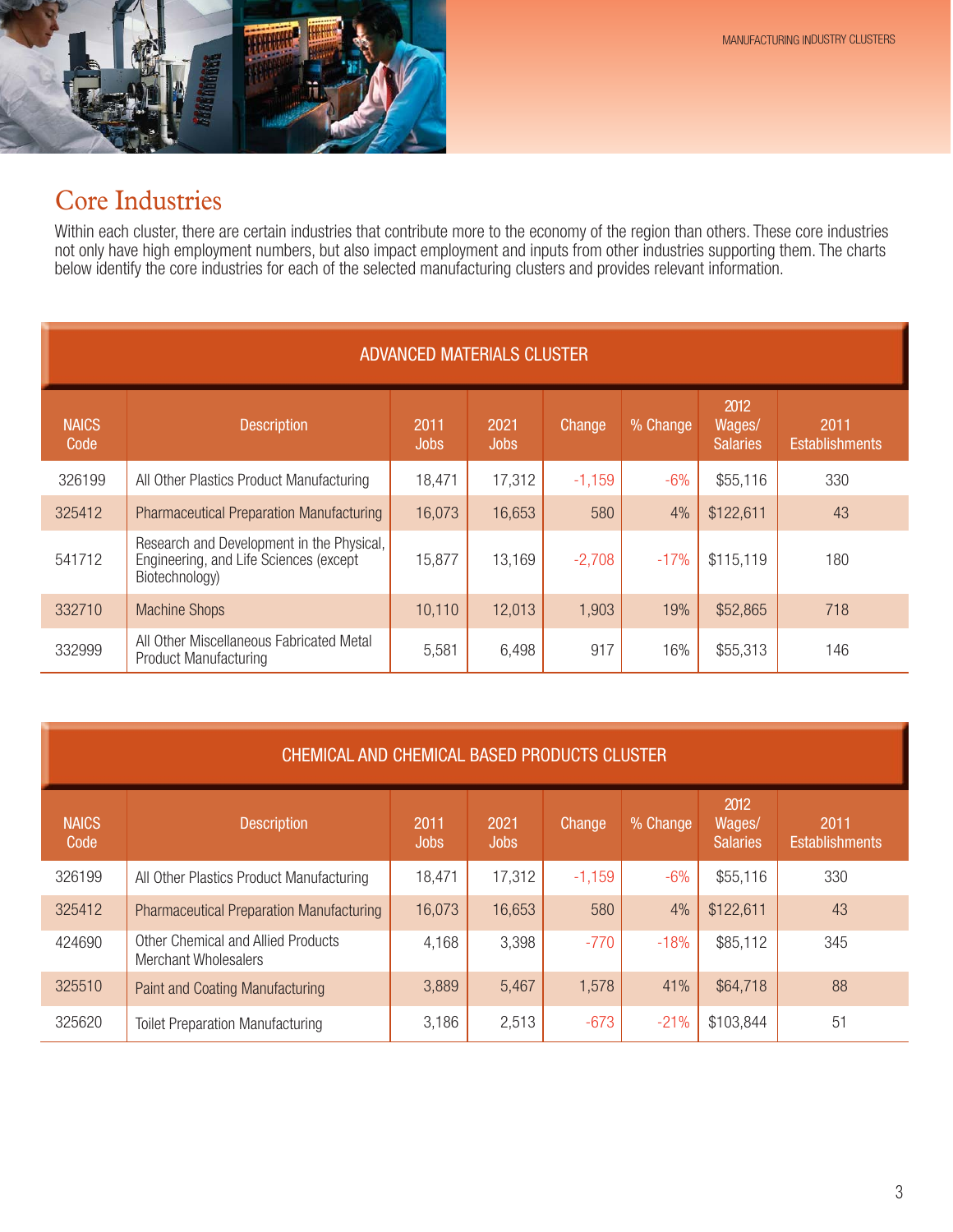

# Core Industries

Within each cluster, there are certain industries that contribute more to the economy of the region than others. These core industries not only have high employment numbers, but also impact employment and inputs from other industries supporting them. The charts below identify the core industries for each of the selected manufacturing clusters and provides relevant information.

|                      | <b>ADVANCED MATERIALS CLUSTER</b>                                                                     |                     |                     |          |          |                                   |                               |  |  |  |  |
|----------------------|-------------------------------------------------------------------------------------------------------|---------------------|---------------------|----------|----------|-----------------------------------|-------------------------------|--|--|--|--|
| <b>NAICS</b><br>Code | <b>Description</b>                                                                                    | 2011<br><b>Jobs</b> | 2021<br><b>Jobs</b> | Change   | % Change | 2012<br>Wages/<br><b>Salaries</b> | 2011<br><b>Establishments</b> |  |  |  |  |
| 326199               | All Other Plastics Product Manufacturing                                                              | 18,471              | 17,312              | $-1,159$ | $-6%$    | \$55,116                          | 330                           |  |  |  |  |
| 325412               | <b>Pharmaceutical Preparation Manufacturing</b>                                                       | 16,073              | 16,653              | 580      | 4%       | \$122,611                         | 43                            |  |  |  |  |
| 541712               | Research and Development in the Physical,<br>Engineering, and Life Sciences (except<br>Biotechnology) | 15,877              | 13,169              | $-2,708$ | $-17%$   | \$115,119                         | 180                           |  |  |  |  |
| 332710               | <b>Machine Shops</b>                                                                                  | 10,110              | 12,013              | 1,903    | 19%      | \$52,865                          | 718                           |  |  |  |  |
| 332999               | All Other Miscellaneous Fabricated Metal<br><b>Product Manufacturing</b>                              | 5,581               | 6,498               | 917      | 16%      | \$55,313                          | 146                           |  |  |  |  |

|                      | CHEMICAL AND CHEMICAL BASED PRODUCTS CLUSTER                      |                     |                     |          |          |                                   |                        |  |  |  |  |
|----------------------|-------------------------------------------------------------------|---------------------|---------------------|----------|----------|-----------------------------------|------------------------|--|--|--|--|
| <b>NAICS</b><br>Code | <b>Description</b>                                                | 2011<br><b>Jobs</b> | 2021<br><b>Jobs</b> | Change   | % Change | 2012<br>Wages/<br><b>Salaries</b> | 2011<br>Establishments |  |  |  |  |
| 326199               | All Other Plastics Product Manufacturing                          | 18,471              | 17,312              | $-1,159$ | $-6%$    | \$55,116                          | 330                    |  |  |  |  |
| 325412               | <b>Pharmaceutical Preparation Manufacturing</b>                   | 16,073              | 16,653              | 580      | 4%       | \$122,611                         | 43                     |  |  |  |  |
| 424690               | Other Chemical and Allied Products<br><b>Merchant Wholesalers</b> | 4,168               | 3,398               | $-770$   | $-18%$   | \$85,112                          | 345                    |  |  |  |  |
| 325510               | Paint and Coating Manufacturing                                   | 3,889               | 5,467               | 1,578    | 41%      | \$64,718                          | 88                     |  |  |  |  |
| 325620               | <b>Toilet Preparation Manufacturing</b>                           | 3,186               | 2,513               | $-673$   | $-21%$   | \$103,844                         | 51                     |  |  |  |  |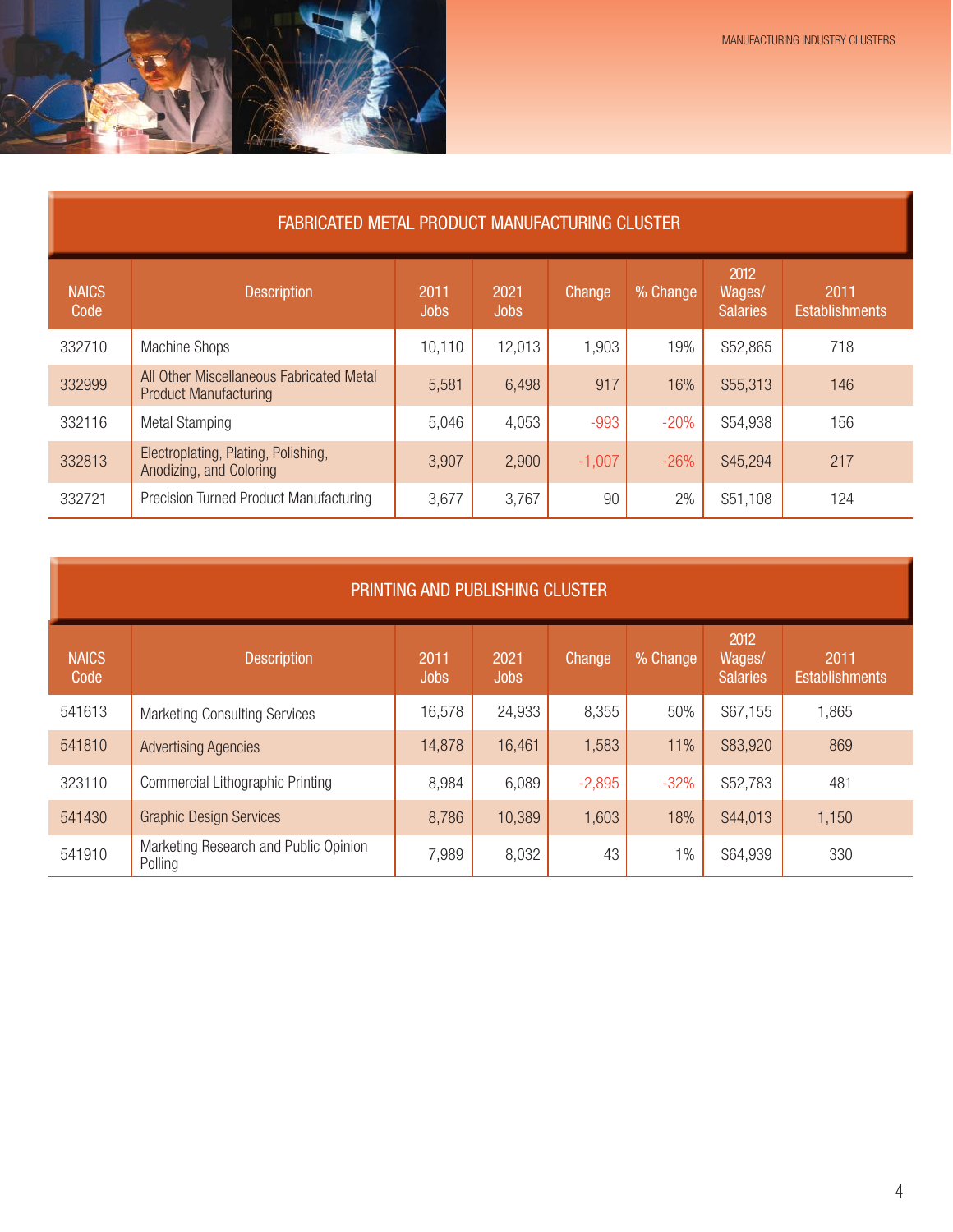

| FABRICATED METAL PRODUCT MANUFACTURING CLUSTER |  |
|------------------------------------------------|--|
|                                                |  |

| <b>NAICS</b><br>Code | <b>Description</b>                                                       | 2011<br><b>Jobs</b> | 2021<br><b>Jobs</b> | Change   | % Change | 2012<br>Wages/<br><b>Salaries</b> | 2011<br><b>Establishments</b> |  |  |  |  |
|----------------------|--------------------------------------------------------------------------|---------------------|---------------------|----------|----------|-----------------------------------|-------------------------------|--|--|--|--|
| 332710               | <b>Machine Shops</b>                                                     | 10,110              | 12,013              | ,903     | 19%      | \$52,865                          | 718                           |  |  |  |  |
| 332999               | All Other Miscellaneous Fabricated Metal<br><b>Product Manufacturing</b> | 5,581               | 6,498               | 917      | 16%      | \$55,313                          | 146                           |  |  |  |  |
| 332116               | <b>Metal Stamping</b>                                                    | 5,046               | 4,053               | $-993$   | $-20%$   | \$54,938                          | 156                           |  |  |  |  |
| 332813               | Electroplating, Plating, Polishing,<br>Anodizing, and Coloring           | 3,907               | 2,900               | $-1,007$ | $-26%$   | \$45,294                          | 217                           |  |  |  |  |
| 332721               | <b>Precision Turned Product Manufacturing</b>                            | 3,677               | 3,767               | 90       | 2%       | \$51,108                          | 124                           |  |  |  |  |

|                      | PRINTING AND PUBLISHING CLUSTER                  |                     |                     |          |          |                                   |                               |  |  |  |  |
|----------------------|--------------------------------------------------|---------------------|---------------------|----------|----------|-----------------------------------|-------------------------------|--|--|--|--|
| <b>NAICS</b><br>Code | <b>Description</b>                               | 2011<br><b>Jobs</b> | 2021<br><b>Jobs</b> | Change   | % Change | 2012<br>Wages/<br><b>Salaries</b> | 2011<br><b>Establishments</b> |  |  |  |  |
| 541613               | <b>Marketing Consulting Services</b>             | 16,578              | 24,933              | 8,355    | 50%      | \$67,155                          | 1,865                         |  |  |  |  |
| 541810               | <b>Advertising Agencies</b>                      | 14,878              | 16,461              | 1,583    | 11%      | \$83,920                          | 869                           |  |  |  |  |
| 323110               | <b>Commercial Lithographic Printing</b>          | 8,984               | 6,089               | $-2,895$ | $-32%$   | \$52,783                          | 481                           |  |  |  |  |
| 541430               | <b>Graphic Design Services</b>                   | 8,786               | 10,389              | 1,603    | 18%      | \$44,013                          | 1,150                         |  |  |  |  |
| 541910               | Marketing Research and Public Opinion<br>Polling | 7,989               | 8,032               | 43       | $1\%$    | \$64,939                          | 330                           |  |  |  |  |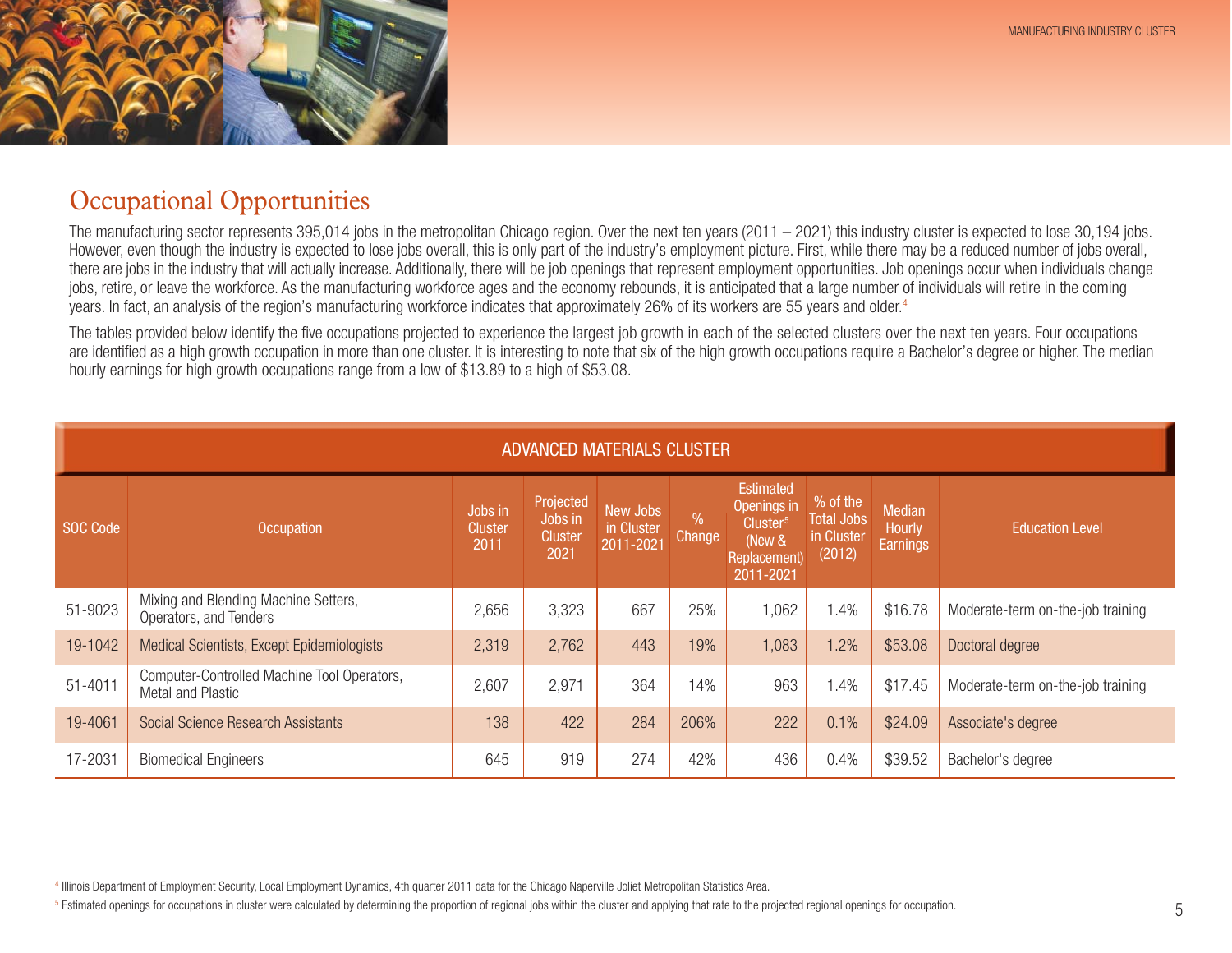MANUFACTURING INDUSTRY CLUSTER



# Occupational Opportunities

The manufacturing sector represents 395,014 jobs in the metropolitan Chicago region. Over the next ten years (2011 – 2021) this industry cluster is expected to lose 30,194 jobs. However, even though the industry is expected to lose jobs overall, this is only part of the industry's employment picture. First, while there may be a reduced number of jobs overall, there are jobs in the industry that will actually increase. Additionally, there will be job openings that represent employment opportunities. Job openings occur when individuals change jobs, retire, or leave the workforce. As the manufacturing workforce ages and the economy rebounds, it is anticipated that a large number of individuals will retire in the coming years. In fact, an analysis of the region's manufacturing workforce indicates that approximately 26% of its workers are 55 years and older.<sup>4</sup>

The tables provided below identify the five occupations projected to experience the largest job growth in each of the selected clusters over the next ten years. Four occupations are identified as a high growth occupation in more than one cluster. It is interesting to note that six of the high growth occupations require a Bachelor's degree or higher. The median hourly earnings for high growth occupations range from a low of \$13.89 to a high of \$53.08.

|                 | <b>ADVANCED MATERIALS CLUSTER</b>                                |                            |                                         |                                     |                |                                                                                         |                                                       |                                     |                                   |  |  |
|-----------------|------------------------------------------------------------------|----------------------------|-----------------------------------------|-------------------------------------|----------------|-----------------------------------------------------------------------------------------|-------------------------------------------------------|-------------------------------------|-----------------------------------|--|--|
| <b>SOC Code</b> | <b>Occupation</b>                                                | Jobs in<br>Cluster<br>2011 | Projected<br>Jobs in<br>Cluster<br>2021 | New Jobs<br>in Cluster<br>2011-2021 | $\%$<br>Change | Estimated<br>Openings in<br>Cluster <sup>5</sup><br>(New &<br>Replacement)<br>2011-2021 | % of the<br><b>Total Jobs</b><br>in Cluster<br>(2012) | Median<br><b>Hourly</b><br>Earnings | <b>Education Level</b>            |  |  |
| 51-9023         | Mixing and Blending Machine Setters,<br>Operators, and Tenders   | 2,656                      | 3,323                                   | 667                                 | 25%            | 1,062                                                                                   | 1.4%                                                  | \$16.78                             | Moderate-term on-the-job training |  |  |
| 19-1042         | Medical Scientists, Except Epidemiologists                       | 2,319                      | 2,762                                   | 443                                 | 19%            | 1,083                                                                                   | 1.2%                                                  | \$53.08                             | Doctoral degree                   |  |  |
| $51 - 4011$     | Computer-Controlled Machine Tool Operators,<br>Metal and Plastic | 2,607                      | 2,971                                   | 364                                 | 14%            | 963                                                                                     | 1.4%                                                  | \$17.45                             | Moderate-term on-the-job training |  |  |
| 19-4061         | Social Science Research Assistants                               | 138                        | 422                                     | 284                                 | 206%           | 222                                                                                     | 0.1%                                                  | \$24.09                             | Associate's degree                |  |  |
| 17-2031         | <b>Biomedical Engineers</b>                                      | 645                        | 919                                     | 274                                 | 42%            | 436                                                                                     | 0.4%                                                  | \$39.52                             | Bachelor's degree                 |  |  |

<sup>4</sup> Illinois Department of Employment Security, Local Employment Dynamics, 4th quarter 2011 data for the Chicago Naperville Joliet Metropolitan Statistics Area.

<sup>5</sup> Estimated openings for occupations in cluster were calculated by determining the proportion of regional jobs within the cluster and applying that rate to the projected regional openings for occupation.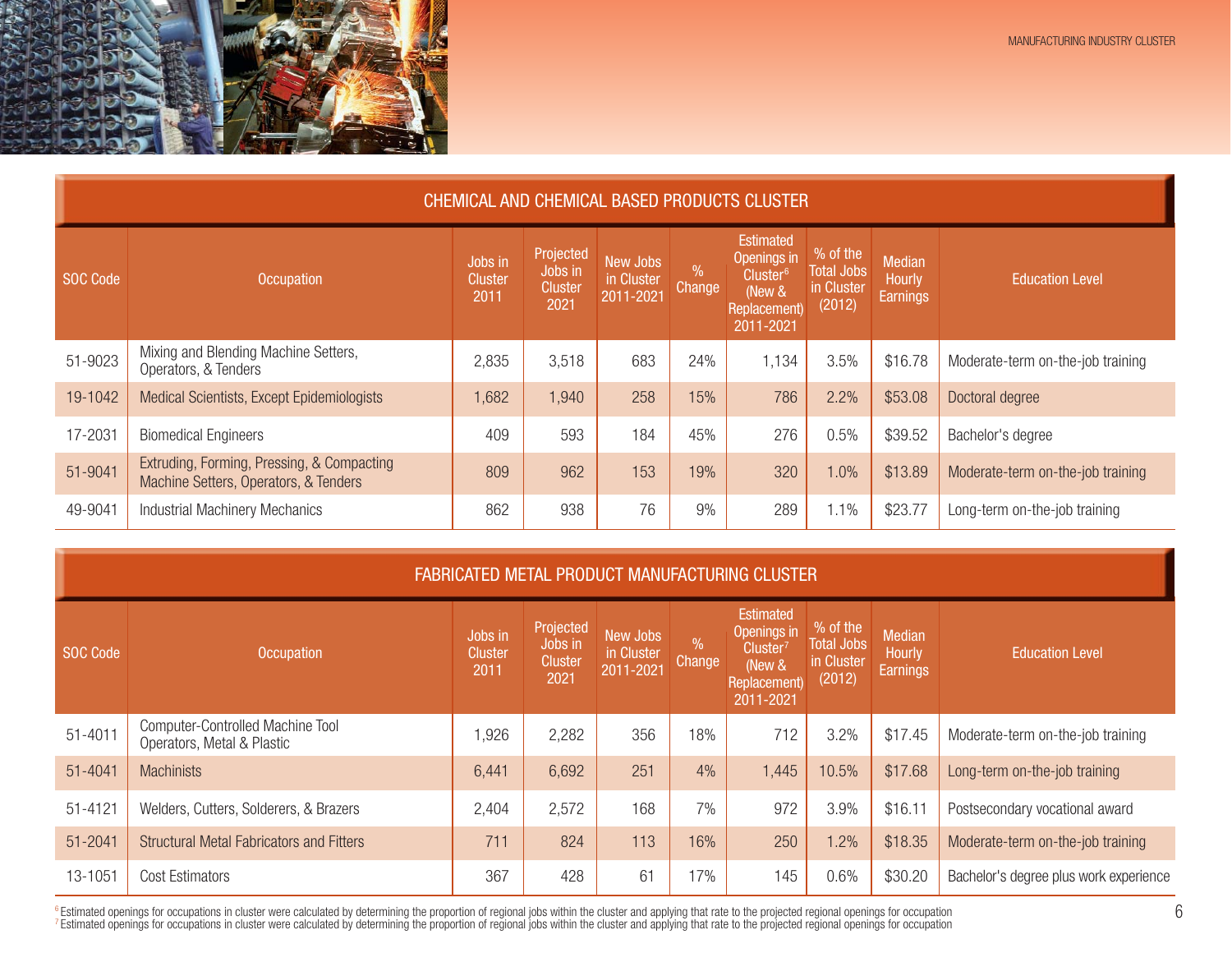

| <b>MANUFACTURING INDUSTRY CLUSTER</b> |  |
|---------------------------------------|--|
|---------------------------------------|--|

|                 | CHEMICAL AND CHEMICAL BASED PRODUCTS CLUSTER                                        |                            |                                         |                                            |                       |                                                                                                   |                                                         |                                     |                                   |  |  |
|-----------------|-------------------------------------------------------------------------------------|----------------------------|-----------------------------------------|--------------------------------------------|-----------------------|---------------------------------------------------------------------------------------------------|---------------------------------------------------------|-------------------------------------|-----------------------------------|--|--|
| <b>SOC Code</b> | <b>Occupation</b>                                                                   | Jobs in<br>Cluster<br>2011 | Projected<br>Jobs in<br>Cluster<br>2021 | <b>New Jobs</b><br>in Cluster<br>2011-2021 | $\sqrt{96}$<br>Change | <b>Estimated</b><br>Openings in<br>Cluster <sup>6</sup><br>(New $\&$<br>Replacement)<br>2011-2021 | $%$ of the<br><b>Total Jobs</b><br>in Cluster<br>(2012) | Median<br><b>Hourly</b><br>Earnings | <b>Education Level</b>            |  |  |
| 51-9023         | Mixing and Blending Machine Setters,<br>Operators, & Tenders                        | 2,835                      | 3,518                                   | 683                                        | 24%                   | ,134                                                                                              | 3.5%                                                    | \$16.78                             | Moderate-term on-the-job training |  |  |
| 19-1042         | Medical Scientists, Except Epidemiologists                                          | ,682                       | 1,940                                   | 258                                        | 15%                   | 786                                                                                               | 2.2%                                                    | \$53.08                             | Doctoral degree                   |  |  |
| 17-2031         | <b>Biomedical Engineers</b>                                                         | 409                        | 593                                     | 184                                        | 45%                   | 276                                                                                               | 0.5%                                                    | \$39.52                             | Bachelor's degree                 |  |  |
| 51-9041         | Extruding, Forming, Pressing, & Compacting<br>Machine Setters, Operators, & Tenders | 809                        | 962                                     | 153                                        | 19%                   | 320                                                                                               | 1.0%                                                    | \$13.89                             | Moderate-term on-the-job training |  |  |
| 49-9041         | <b>Industrial Machinery Mechanics</b>                                               | 862                        | 938                                     | 76                                         | 9%                    | 289                                                                                               | 1.1%                                                    | \$23.77                             | Long-term on-the-job training     |  |  |

|                 | <b>FABRICATED METAL PRODUCT MANUFACTURING CLUSTER</b>                 |                            |                                         |                                     |                                |                                                                                           |                                                         |                                     |                                        |  |  |
|-----------------|-----------------------------------------------------------------------|----------------------------|-----------------------------------------|-------------------------------------|--------------------------------|-------------------------------------------------------------------------------------------|---------------------------------------------------------|-------------------------------------|----------------------------------------|--|--|
| <b>SOC Code</b> | <b>Occupation</b>                                                     | Jobs in<br>Cluster<br>2011 | Projected<br>Jobs in<br>Cluster<br>2021 | New Jobs<br>in Cluster<br>2011-2021 | $\frac{0}{0}$<br><b>Change</b> | Estimated<br>Openings in<br>Cluster <sup>7</sup><br>(New $&$<br>Replacement)<br>2011-2021 | $%$ of the<br><b>Total Jobs</b><br>in Cluster<br>(2012) | <b>Median</b><br>Hourly<br>Earnings | <b>Education Level</b>                 |  |  |
| $51 - 4011$     | <b>Computer-Controlled Machine Tool</b><br>Operators, Metal & Plastic | 1,926                      | 2,282                                   | 356                                 | 18%                            | 712                                                                                       | 3.2%                                                    | \$17.45                             | Moderate-term on-the-job training      |  |  |
| $51 - 4041$     | <b>Machinists</b>                                                     | 6,441                      | 6,692                                   | 251                                 | 4%                             | 1,445                                                                                     | 10.5%                                                   | \$17.68                             | Long-term on-the-job training          |  |  |
| 51-4121         | Welders, Cutters, Solderers, & Brazers                                | 2,404                      | 2,572                                   | 168                                 | 7%                             | 972                                                                                       | 3.9%                                                    | \$16.11                             | Postsecondary vocational award         |  |  |
| $51 - 2041$     | <b>Structural Metal Fabricators and Fitters</b>                       | 711                        | 824                                     | 113                                 | 16%                            | 250                                                                                       | 1.2%                                                    | \$18.35                             | Moderate-term on-the-job training      |  |  |
| 13-1051         | <b>Cost Estimators</b>                                                | 367                        | 428                                     | 61                                  | 17%                            | 145                                                                                       | 0.6%                                                    | \$30.20                             | Bachelor's degree plus work experience |  |  |

**Estimated openings for occupations in cluster were calculated by determining the proportion of regional jobs within the cluster and applying that rate to the projected regional openings for occupation** 7 Estimated openings for occupations in cluster were calculated by determining the proportion of regional jobs within the cluster and applying that rate to the projected regional openings for occupation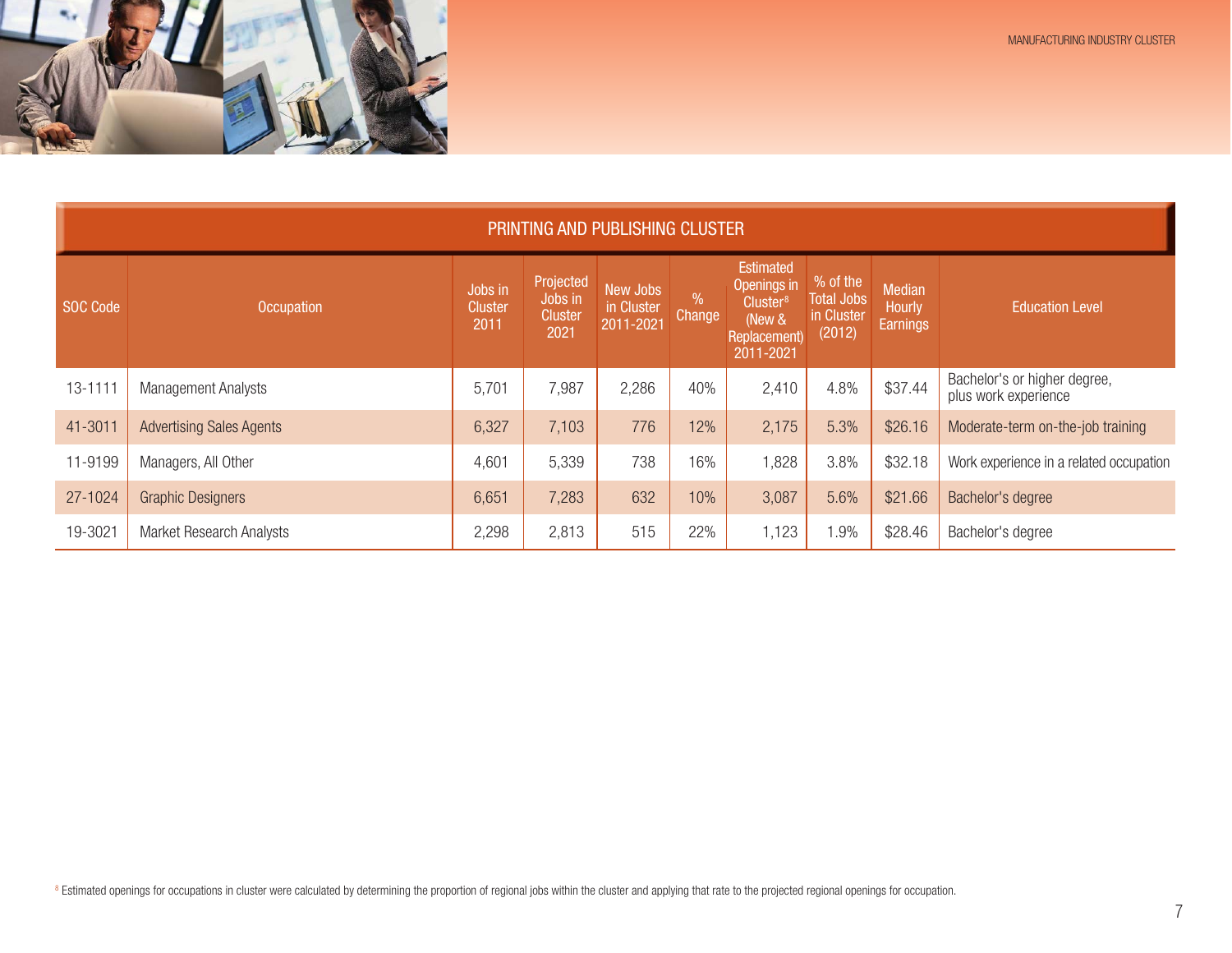MANUFACTURING INDUSTRY CLUSTER



|                 | PRINTING AND PUBLISHING CLUSTER |                                   |                                         |                                            |                         |                                                                                                |                                                |                                            |                                                      |  |  |
|-----------------|---------------------------------|-----------------------------------|-----------------------------------------|--------------------------------------------|-------------------------|------------------------------------------------------------------------------------------------|------------------------------------------------|--------------------------------------------|------------------------------------------------------|--|--|
| <b>SOC Code</b> | <b>Occupation</b>               | Jobs in<br><b>Cluster</b><br>2011 | Projected<br>Jobs in<br>Cluster<br>2021 | <b>New Jobs</b><br>in Cluster<br>2011-2021 | $\frac{0}{0}$<br>Change | <b>Estimated</b><br>Openings in<br>Cluster <sup>8</sup><br>(New &<br>Replacement)<br>2011-2021 | % of the<br>Total Jobs<br>in Cluster<br>(2012) | <b>Median</b><br><b>Hourly</b><br>Earnings | <b>Education Level</b>                               |  |  |
| 13-1111         | <b>Management Analysts</b>      | 5,701                             | 7,987                                   | 2,286                                      | 40%                     | 2,410                                                                                          | 4.8%                                           | \$37.44                                    | Bachelor's or higher degree,<br>plus work experience |  |  |
| 41-3011         | <b>Advertising Sales Agents</b> | 6,327                             | 7,103                                   | 776                                        | 12%                     | 2,175                                                                                          | 5.3%                                           | \$26.16                                    | Moderate-term on-the-job training                    |  |  |
| 11-9199         | Managers, All Other             | 4,601                             | 5,339                                   | 738                                        | 16%                     | 1,828                                                                                          | 3.8%                                           | \$32.18                                    | Work experience in a related occupation              |  |  |
| 27-1024         | <b>Graphic Designers</b>        | 6,651                             | 7,283                                   | 632                                        | 10%                     | 3,087                                                                                          | 5.6%                                           | \$21.66                                    | Bachelor's degree                                    |  |  |
| 19-3021         | Market Research Analysts        | 2,298                             | 2,813                                   | 515                                        | 22%                     | 1,123                                                                                          | 1.9%                                           | \$28.46                                    | Bachelor's degree                                    |  |  |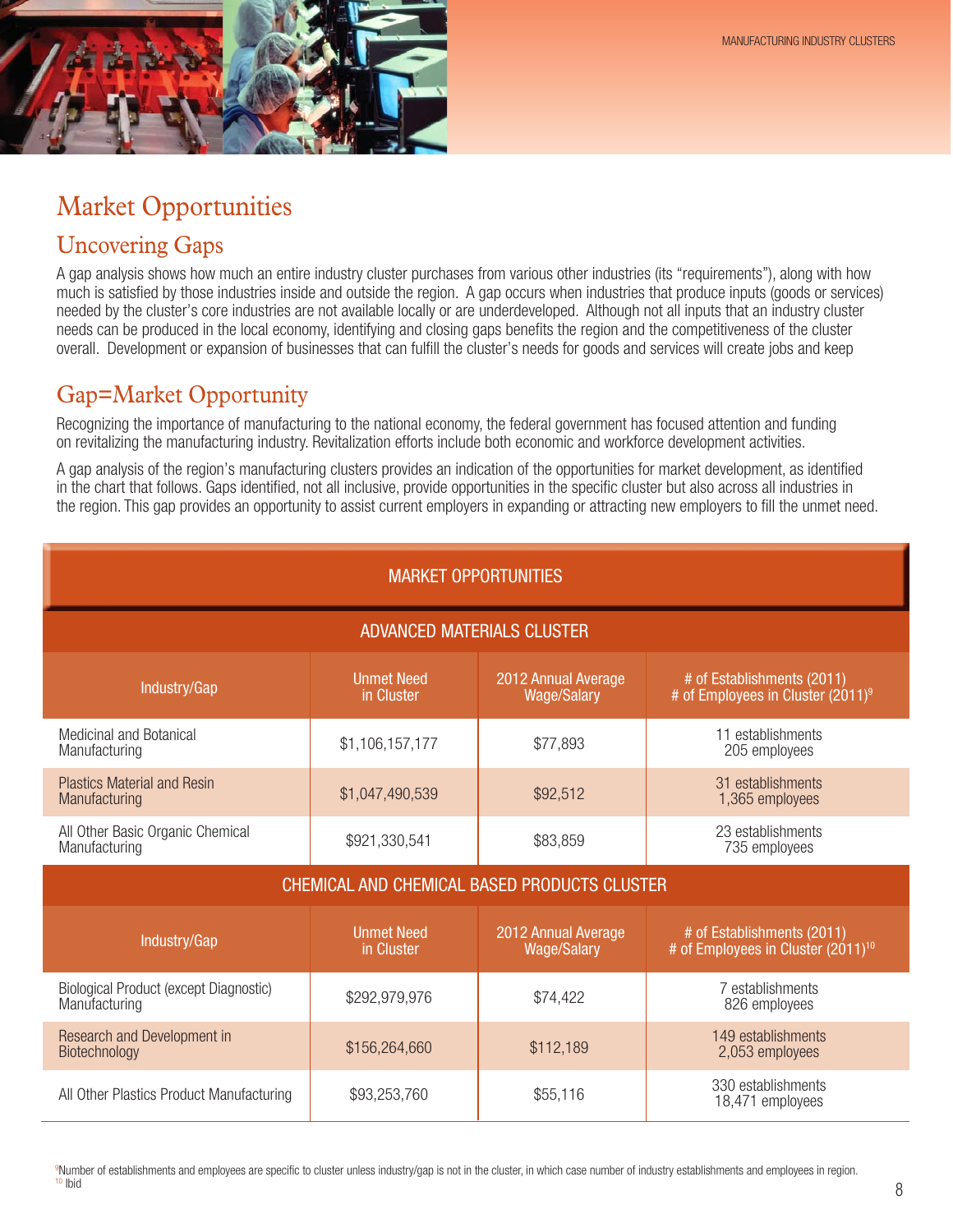

# Market Opportunities

## Uncovering Gaps

A gap analysis shows how much an entire industry cluster purchases from various other industries (its "requirements"), along with how much is satisfied by those industries inside and outside the region. A gap occurs when industries that produce inputs (goods or services) needed by the cluster's core industries are not available locally or are underdeveloped. Although not all inputs that an industry cluster needs can be produced in the local economy, identifying and closing gaps benefits the region and the competitiveness of the cluster overall. Development or expansion of businesses that can fulfill the cluster's needs for goods and services will create jobs and keep

## Gap=Market Opportunity

Recognizing the importance of manufacturing to the national economy, the federal government has focused attention and funding on revitalizing the manufacturing industry. Revitalization efforts include both economic and workforce development activities.

A gap analysis of the region's manufacturing clusters provides an indication of the opportunities for market development, as identified in the chart that follows. Gaps identified, not all inclusive, provide opportunities in the specific cluster but also across all industries in the region. This gap provides an opportunity to assist current employers in expanding or attracting new employers to fill the unmet need.

| <b>MARKET OPPORTUNITIES</b>                                    |                                                     |                                           |                                                                              |  |  |  |  |  |  |  |
|----------------------------------------------------------------|-----------------------------------------------------|-------------------------------------------|------------------------------------------------------------------------------|--|--|--|--|--|--|--|
| <b>ADVANCED MATERIALS CLUSTER</b>                              |                                                     |                                           |                                                                              |  |  |  |  |  |  |  |
| Industry/Gap                                                   | <b>Unmet Need</b><br>in Cluster                     | 2012 Annual Average<br><b>Wage/Salary</b> | # of Establishments (2011)<br># of Employees in Cluster $(2011)^9$           |  |  |  |  |  |  |  |
| <b>Medicinal and Botanical</b><br>Manufacturing                | \$1,106,157,177                                     | \$77,893                                  | 11 establishments<br>205 employees                                           |  |  |  |  |  |  |  |
| <b>Plastics Material and Resin</b><br>Manufacturing            | \$1,047,490,539                                     | \$92,512                                  | 31 establishments<br>1,365 employees                                         |  |  |  |  |  |  |  |
| All Other Basic Organic Chemical<br>Manufacturing              | \$921,330,541                                       | \$83,859                                  | 23 establishments<br>735 employees                                           |  |  |  |  |  |  |  |
|                                                                | <b>CHEMICAL AND CHEMICAL BASED PRODUCTS CLUSTER</b> |                                           |                                                                              |  |  |  |  |  |  |  |
| Industry/Gap                                                   | <b>Unmet Need</b><br>in Cluster                     | 2012 Annual Average<br><b>Wage/Salary</b> | # of Establishments (2011)<br># of Employees in Cluster (2011) <sup>10</sup> |  |  |  |  |  |  |  |
| <b>Biological Product (except Diagnostic)</b><br>Manufacturing | \$292,979,976                                       | \$74,422                                  | 7 establishments<br>826 employees                                            |  |  |  |  |  |  |  |
| Research and Development in<br>Biotechnology                   | \$156,264,660                                       | \$112,189                                 | 149 establishments<br>2,053 employees                                        |  |  |  |  |  |  |  |
| All Other Plastics Product Manufacturing                       | \$93,253,760                                        | \$55,116                                  | 330 establishments<br>18,471 employees                                       |  |  |  |  |  |  |  |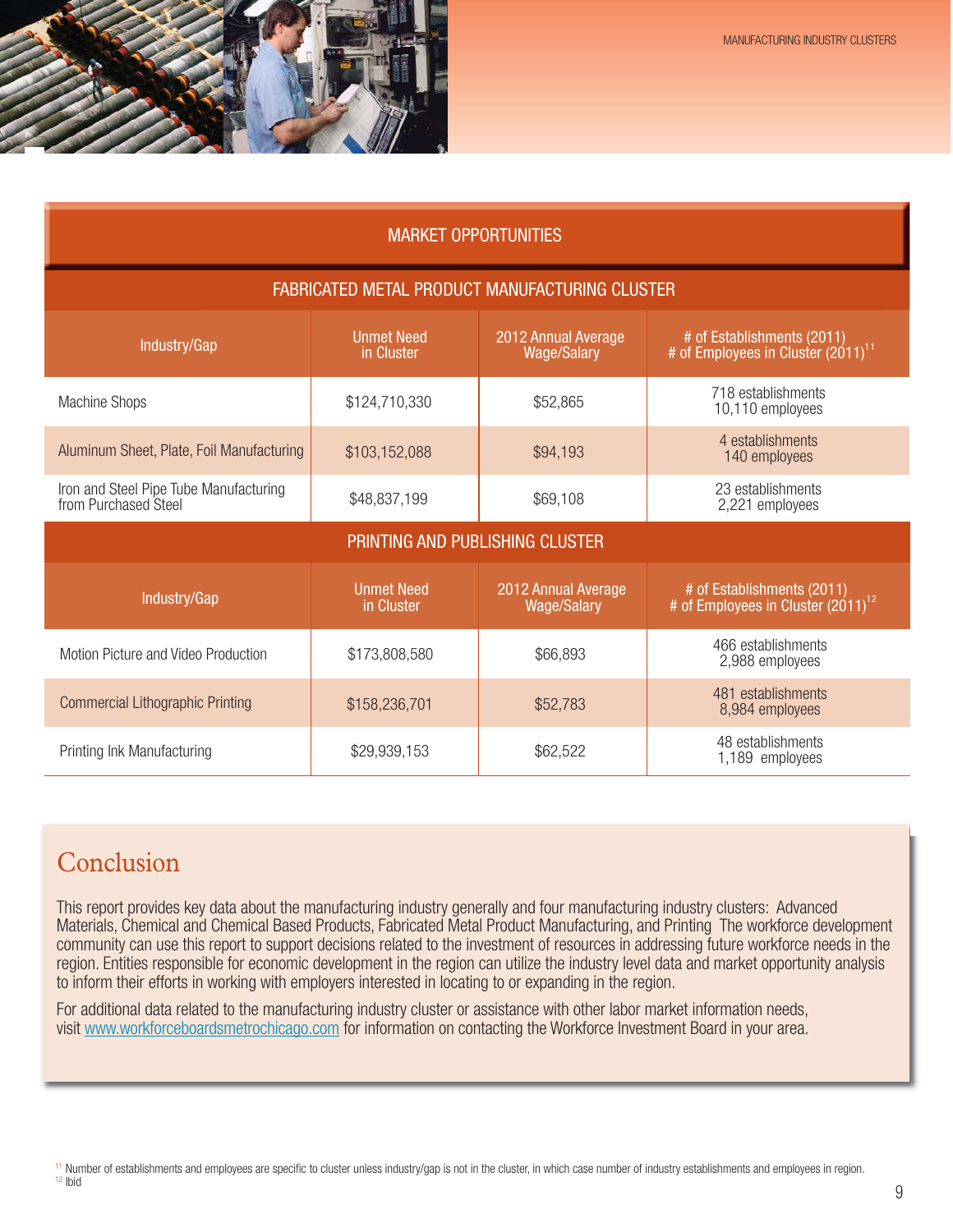

| <b>MARKET OPPORTUNITIES</b>                                    |                                 |                                           |                                                                              |  |
|----------------------------------------------------------------|---------------------------------|-------------------------------------------|------------------------------------------------------------------------------|--|
| FABRICATED METAL PRODUCT MANUFACTURING CLUSTER                 |                                 |                                           |                                                                              |  |
| Industry/Gap                                                   | <b>Unmet Need</b><br>in Cluster | 2012 Annual Average<br><b>Wage/Salary</b> | # of Establishments (2011)<br># of Employees in Cluster (2011) <sup>11</sup> |  |
| <b>Machine Shops</b>                                           | \$124,710,330                   | \$52,865                                  | 718 establishments<br>10,110 employees                                       |  |
| Aluminum Sheet, Plate, Foil Manufacturing                      | \$103,152,088                   | \$94,193                                  | 4 establishments<br>140 employees                                            |  |
| Iron and Steel Pipe Tube Manufacturing<br>from Purchased Steel | \$48,837,199<br>\$69,108        |                                           | 23 establishments<br>2,221 employees                                         |  |
| PRINTING AND PUBLISHING CLUSTER                                |                                 |                                           |                                                                              |  |
| Industry/Gap                                                   | <b>Unmet Need</b><br>in Cluster | 2012 Annual Average<br><b>Wage/Salary</b> | # of Establishments (2011)<br># of Employees in Cluster (2011) <sup>12</sup> |  |
| Motion Picture and Video Production                            | \$173,808,580                   | \$66,893                                  | 466 establishments<br>2,988 employees                                        |  |
| <b>Commercial Lithographic Printing</b>                        | \$158,236,701                   | \$52,783                                  | 481 establishments<br>8,984 employees                                        |  |
| \$29,939,153<br>Printing Ink Manufacturing                     |                                 | \$62,522                                  | 48 establishments<br>1,189 employees                                         |  |

# Conclusion

This report provides key data about the manufacturing industry generally and four manufacturing industry clusters: Advanced Materials, Chemical and Chemical Based Products, Fabricated Metal Product Manufacturing, and Printing The workforce development community can use this report to support decisions related to the investment of resources in addressing future workforce needs in the region. Entities responsible for economic development in the region can utilize the industry level data and market opportunity analysis to inform their efforts in working with employers interested in locating to or expanding in the region.

For additional data related to the manufacturing industry cluster or assistance with other labor market information needs, visit www.workforceboardsmetrochicago.com for information on contacting the Workforce Investment Board in your area.

 $11$  Number of establishments and employees are specific to cluster unless industry/gap is not in the cluster, in which case number of industry establishments and employees in region.<br> $12$  lbid  $12$  Ibid  $9$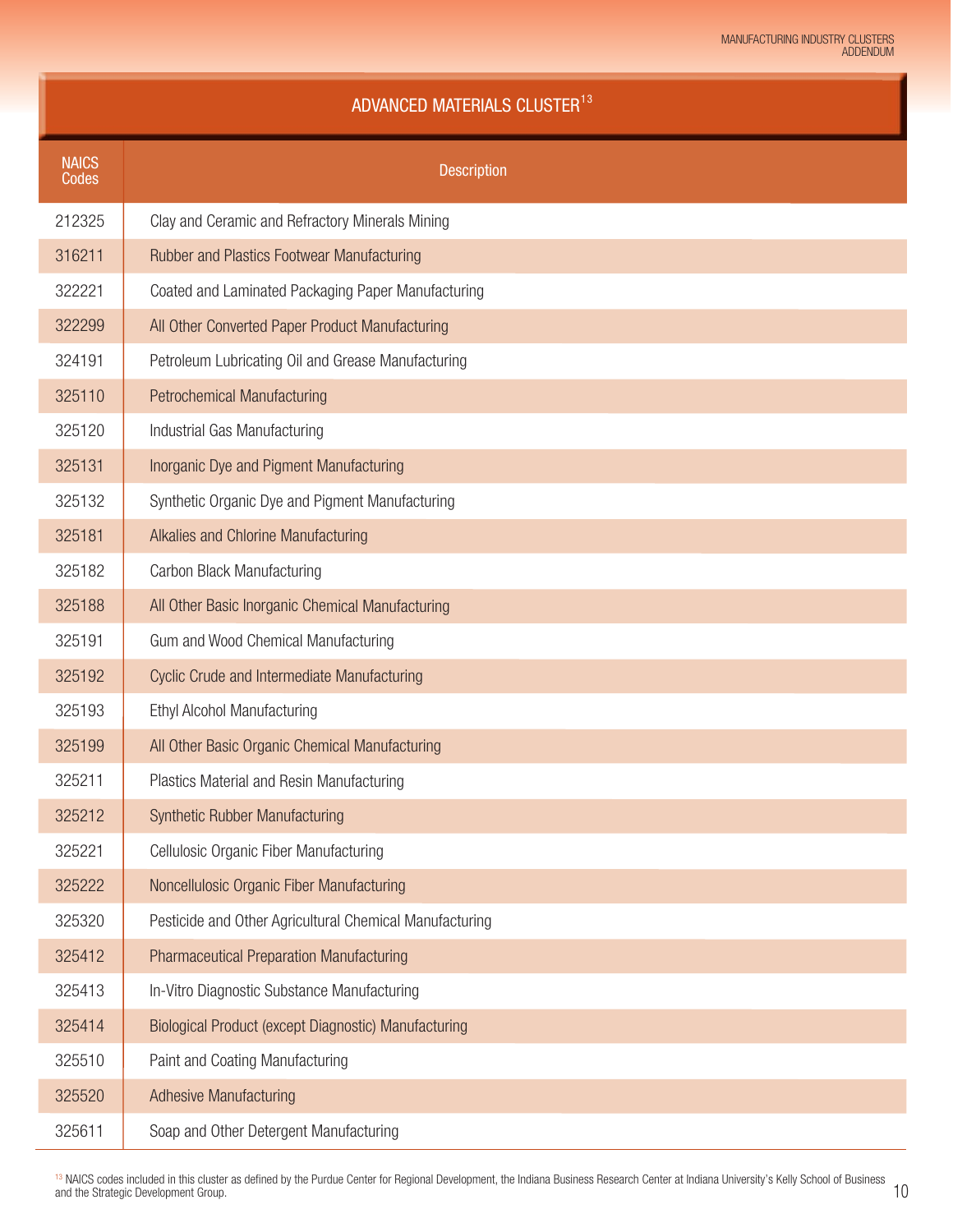# ADVANCED MATERIALS CLUSTER<sup>13</sup>

| <b>NAICS</b><br><b>Codes</b> | <b>Description</b>                                      |
|------------------------------|---------------------------------------------------------|
| 212325                       | Clay and Ceramic and Refractory Minerals Mining         |
| 316211                       | Rubber and Plastics Footwear Manufacturing              |
| 322221                       | Coated and Laminated Packaging Paper Manufacturing      |
| 322299                       | All Other Converted Paper Product Manufacturing         |
| 324191                       | Petroleum Lubricating Oil and Grease Manufacturing      |
| 325110                       | <b>Petrochemical Manufacturing</b>                      |
| 325120                       | Industrial Gas Manufacturing                            |
| 325131                       | Inorganic Dye and Pigment Manufacturing                 |
| 325132                       | Synthetic Organic Dye and Pigment Manufacturing         |
| 325181                       | Alkalies and Chlorine Manufacturing                     |
| 325182                       | Carbon Black Manufacturing                              |
| 325188                       | All Other Basic Inorganic Chemical Manufacturing        |
| 325191                       | Gum and Wood Chemical Manufacturing                     |
| 325192                       | <b>Cyclic Crude and Intermediate Manufacturing</b>      |
| 325193                       | <b>Ethyl Alcohol Manufacturing</b>                      |
| 325199                       | All Other Basic Organic Chemical Manufacturing          |
| 325211                       | Plastics Material and Resin Manufacturing               |
| 325212                       | <b>Synthetic Rubber Manufacturing</b>                   |
| 325221                       | Cellulosic Organic Fiber Manufacturing                  |
| 325222                       | Noncellulosic Organic Fiber Manufacturing               |
| 325320                       | Pesticide and Other Agricultural Chemical Manufacturing |
| 325412                       | <b>Pharmaceutical Preparation Manufacturing</b>         |
| 325413                       | In-Vitro Diagnostic Substance Manufacturing             |
| 325414                       | Biological Product (except Diagnostic) Manufacturing    |
| 325510                       | Paint and Coating Manufacturing                         |
| 325520                       | <b>Adhesive Manufacturing</b>                           |
| 325611                       | Soap and Other Detergent Manufacturing                  |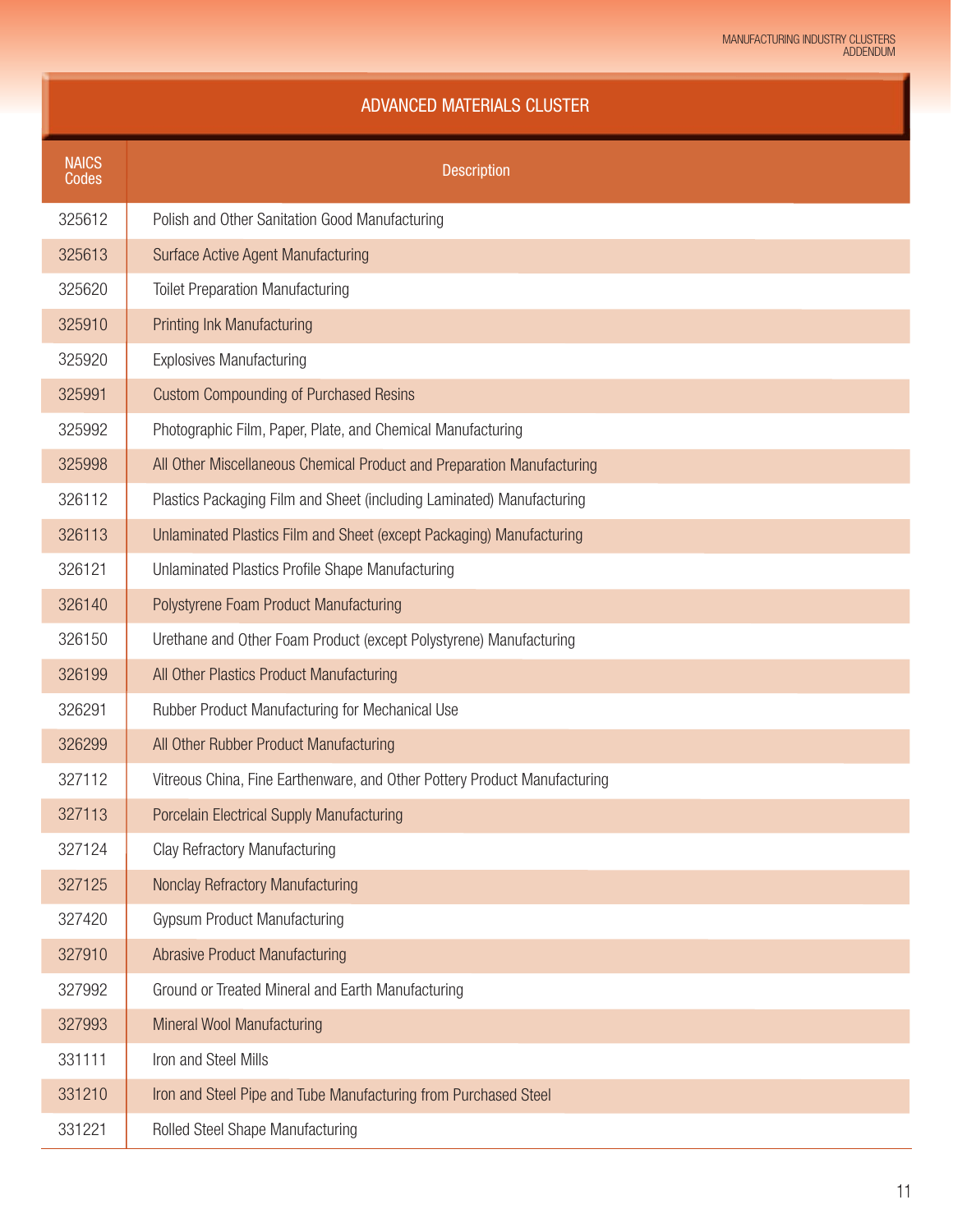# NAICS Description Codes ADVANCED MATERIALS CLUSTER Polish and Other Sanitation Good Manufacturing Surface Active Agent Manufacturing Toilet Preparation Manufacturing Printing Ink Manufacturing Explosives Manufacturing Custom Compounding of Purchased Resins Photographic Film, Paper, Plate, and Chemical Manufacturing All Other Miscellaneous Chemical Product and Preparation Manufacturing Plastics Packaging Film and Sheet (including Laminated) Manufacturing Unlaminated Plastics Film and Sheet (except Packaging) Manufacturing Unlaminated Plastics Profile Shape Manufacturing Polystyrene Foam Product Manufacturing Urethane and Other Foam Product (except Polystyrene) Manufacturing All Other Plastics Product Manufacturing Rubber Product Manufacturing for Mechanical Use All Other Rubber Product Manufacturing 327112 | Vitreous China, Fine Earthenware, and Other Pottery Product Manufacturing Porcelain Electrical Supply Manufacturing Clay Refractory Manufacturing Nonclay Refractory Manufacturing Gypsum Product Manufacturing Abrasive Product Manufacturing Ground or Treated Mineral and Earth Manufacturing Mineral Wool Manufacturing 331111 | Iron and Steel Mills Iron and Steel Pipe and Tube Manufacturing from Purchased Steel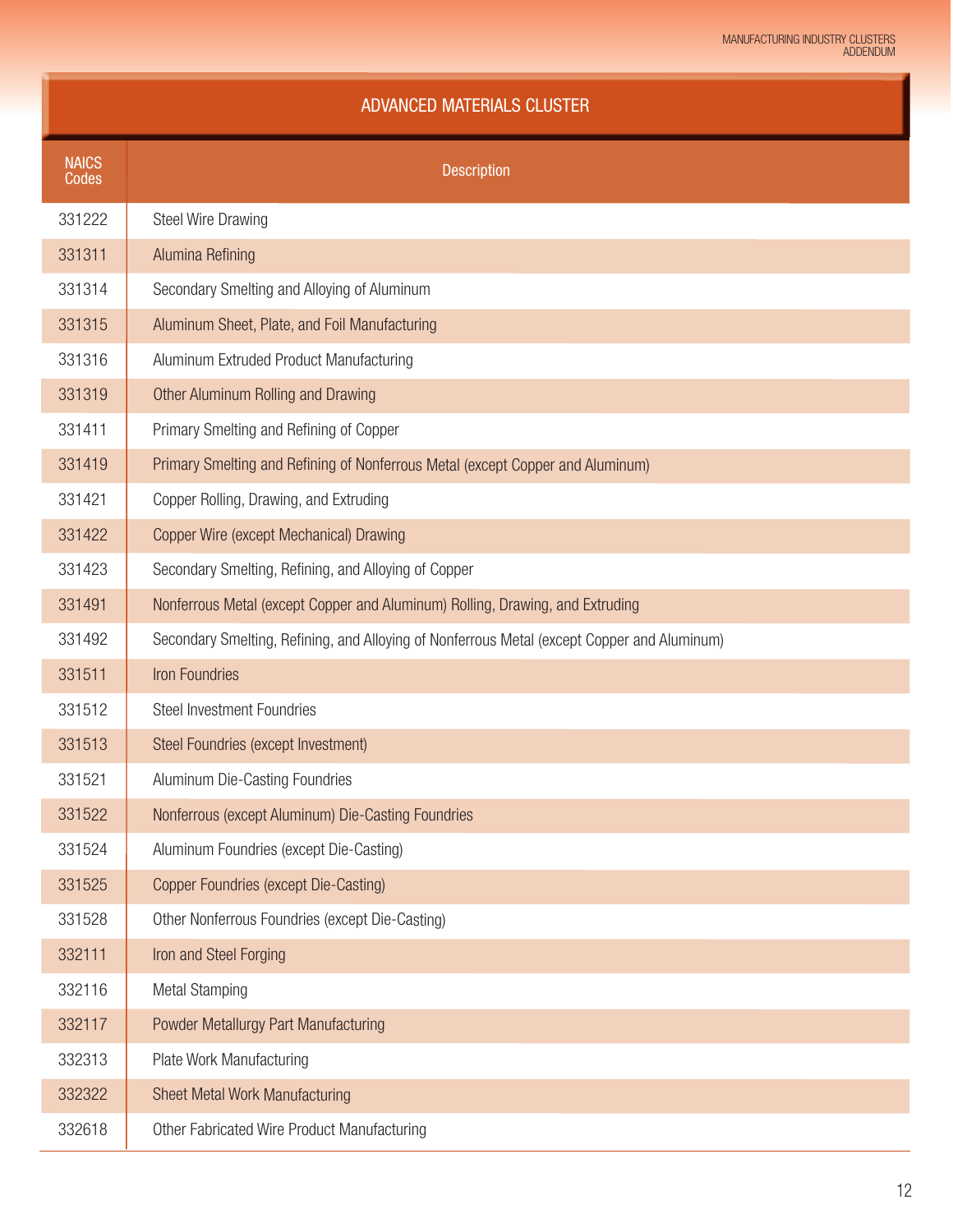# Steel Wire Drawing Alumina Refining Secondary Smelting and Alloying of Aluminum Aluminum Sheet, Plate, and Foil Manufacturing Aluminum Extruded Product Manufacturing Other Aluminum Rolling and Drawing 331411 Primary Smelting and Refining of Copper Primary Smelting and Refining of Nonferrous Metal (except Copper and Aluminum) Copper Rolling, Drawing, and Extruding Copper Wire (except Mechanical) Drawing Secondary Smelting, Refining, and Alloying of Copper Nonferrous Metal (except Copper and Aluminum) Rolling, Drawing, and Extruding Secondary Smelting, Refining, and Alloying of Nonferrous Metal (except Copper and Aluminum) Iron Foundries Steel Investment Foundries Steel Foundries (except Investment) Aluminum Die-Casting Foundries Nonferrous (except Aluminum) Die-Casting Foundries Aluminum Foundries (except Die-Casting) Copper Foundries (except Die-Casting) Other Nonferrous Foundries (except Die-Casting) Iron and Steel Forging Metal Stamping Powder Metallurgy Part Manufacturing Plate Work Manufacturing Sheet Metal Work Manufacturing Other Fabricated Wire Product Manufacturing NAICS Description Codes ADVANCED MATERIALS CLUSTER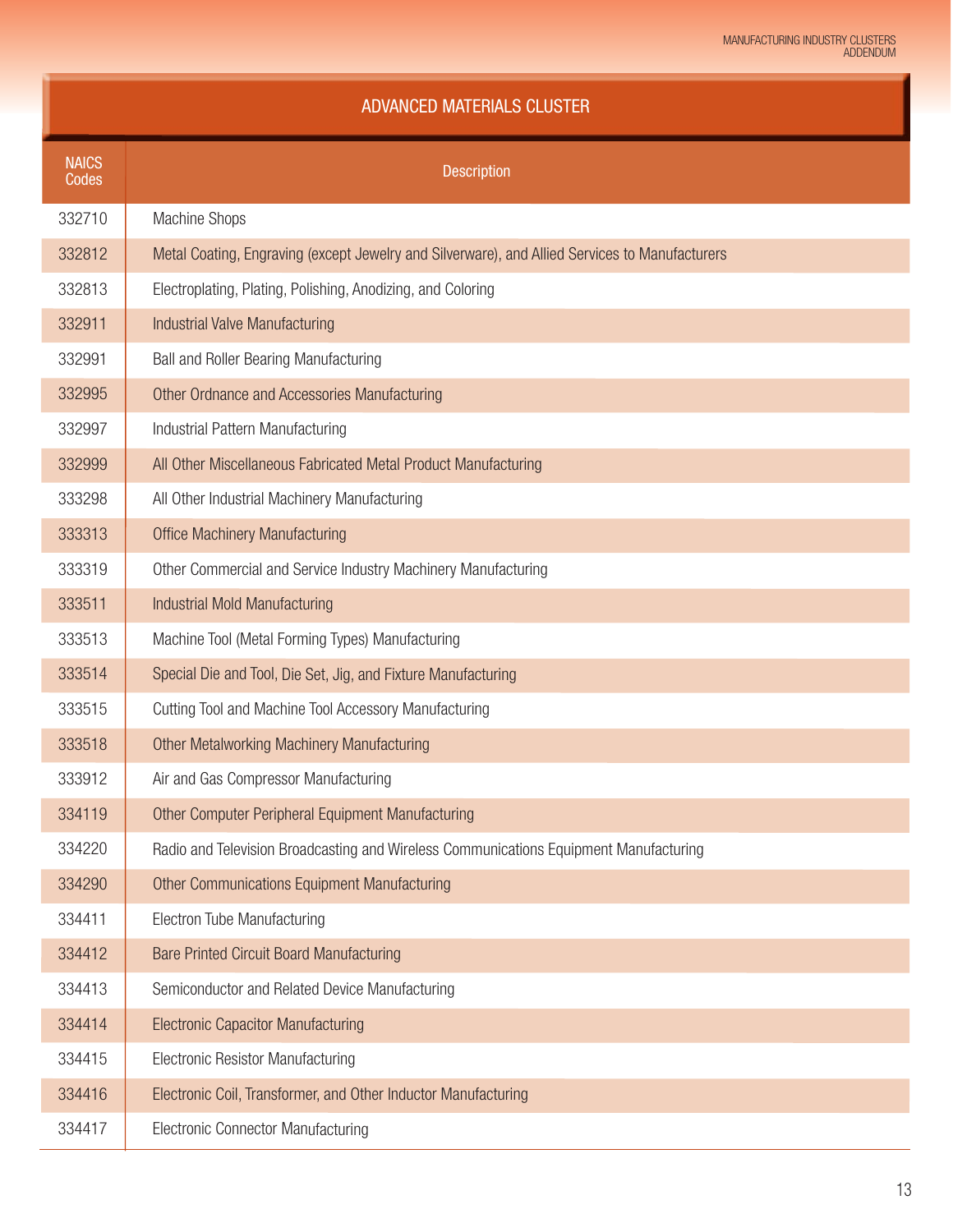# Machine Shops Metal Coating, Engraving (except Jewelry and Silverware), and Allied Services to Manufacturers Electroplating, Plating, Polishing, Anodizing, and Coloring Industrial Valve Manufacturing Ball and Roller Bearing Manufacturing Other Ordnance and Accessories Manufacturing Industrial Pattern Manufacturing All Other Miscellaneous Fabricated Metal Product Manufacturing All Other Industrial Machinery Manufacturing Office Machinery Manufacturing Other Commercial and Service Industry Machinery Manufacturing Industrial Mold Manufacturing Machine Tool (Metal Forming Types) Manufacturing Special Die and Tool, Die Set, Jig, and Fixture Manufacturing Cutting Tool and Machine Tool Accessory Manufacturing Other Metalworking Machinery Manufacturing Air and Gas Compressor Manufacturing Other Computer Peripheral Equipment Manufacturing Radio and Television Broadcasting and Wireless Communications Equipment Manufacturing Other Communications Equipment Manufacturing Electron Tube Manufacturing Bare Printed Circuit Board Manufacturing Semiconductor and Related Device Manufacturing Electronic Capacitor Manufacturing Electronic Resistor Manufacturing Electronic Coil, Transformer, and Other Inductor Manufacturing Electronic Connector Manufacturing NAICS Description Codes ADVANCED MATERIALS CLUSTER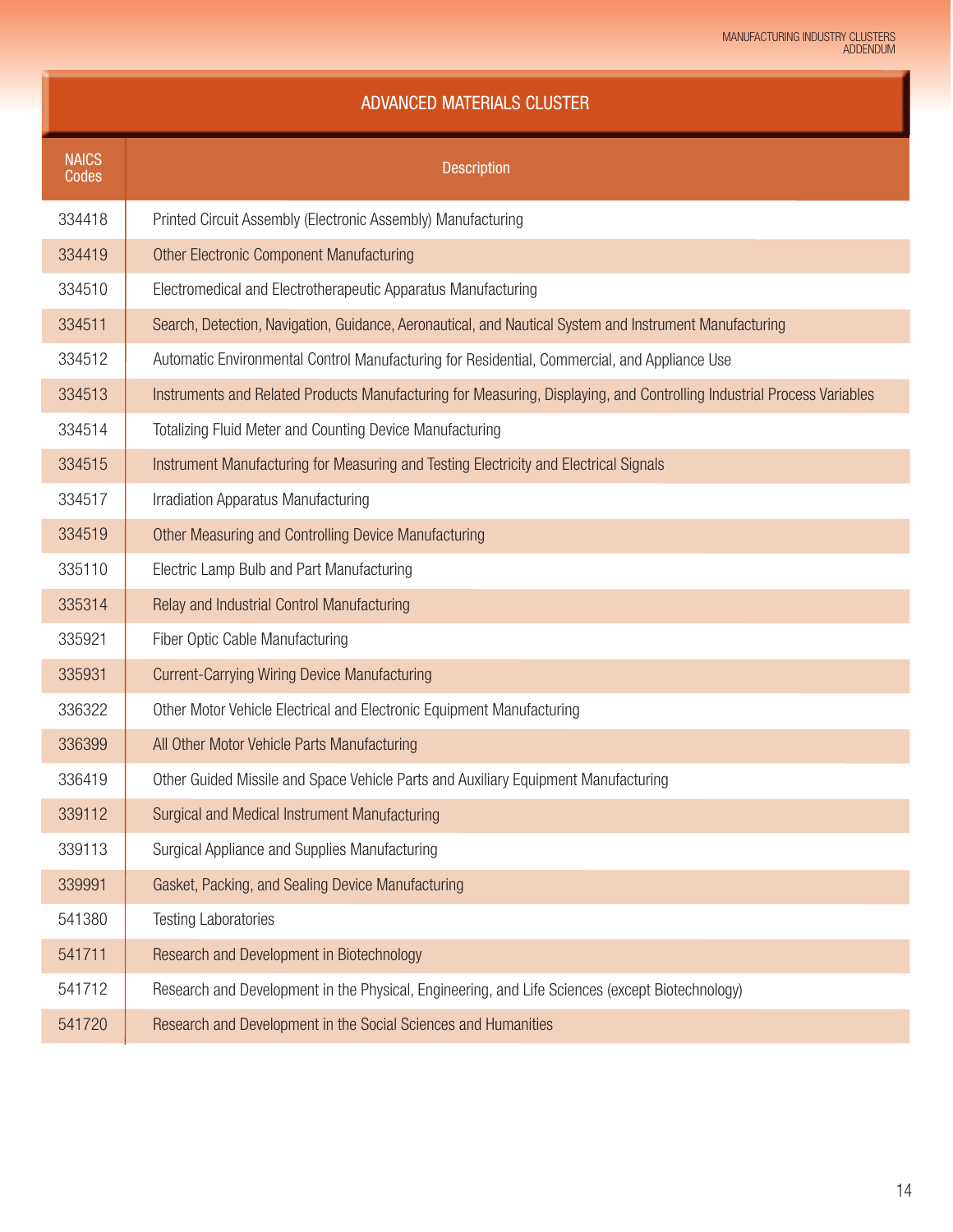# Printed Circuit Assembly (Electronic Assembly) Manufacturing Other Electronic Component Manufacturing Electromedical and Electrotherapeutic Apparatus Manufacturing Search, Detection, Navigation, Guidance, Aeronautical, and Nautical System and Instrument Manufacturing Automatic Environmental Control Manufacturing for Residential, Commercial, and Appliance Use Instruments and Related Products Manufacturing for Measuring, Displaying, and Controlling Industrial Process Variables Totalizing Fluid Meter and Counting Device Manufacturing Instrument Manufacturing for Measuring and Testing Electricity and Electrical Signals Irradiation Apparatus Manufacturing Other Measuring and Controlling Device Manufacturing Electric Lamp Bulb and Part Manufacturing Relay and Industrial Control Manufacturing Fiber Optic Cable Manufacturing Current-Carrying Wiring Device Manufacturing Other Motor Vehicle Electrical and Electronic Equipment Manufacturing All Other Motor Vehicle Parts Manufacturing **Cther Guided Missile and Space Vehicle Parts and Auxiliary Equipment Manufacturing**  Surgical and Medical Instrument Manufacturing Surgical Appliance and Supplies Manufacturing Gasket, Packing, and Sealing Device Manufacturing 541380 | Testing Laboratories Research and Development in Biotechnology Research and Development in the Physical, Engineering, and Life Sciences (except Biotechnology) NAICS Description Codes ADVANCED MATERIALS CLUSTER

Research and Development in the Social Sciences and Humanities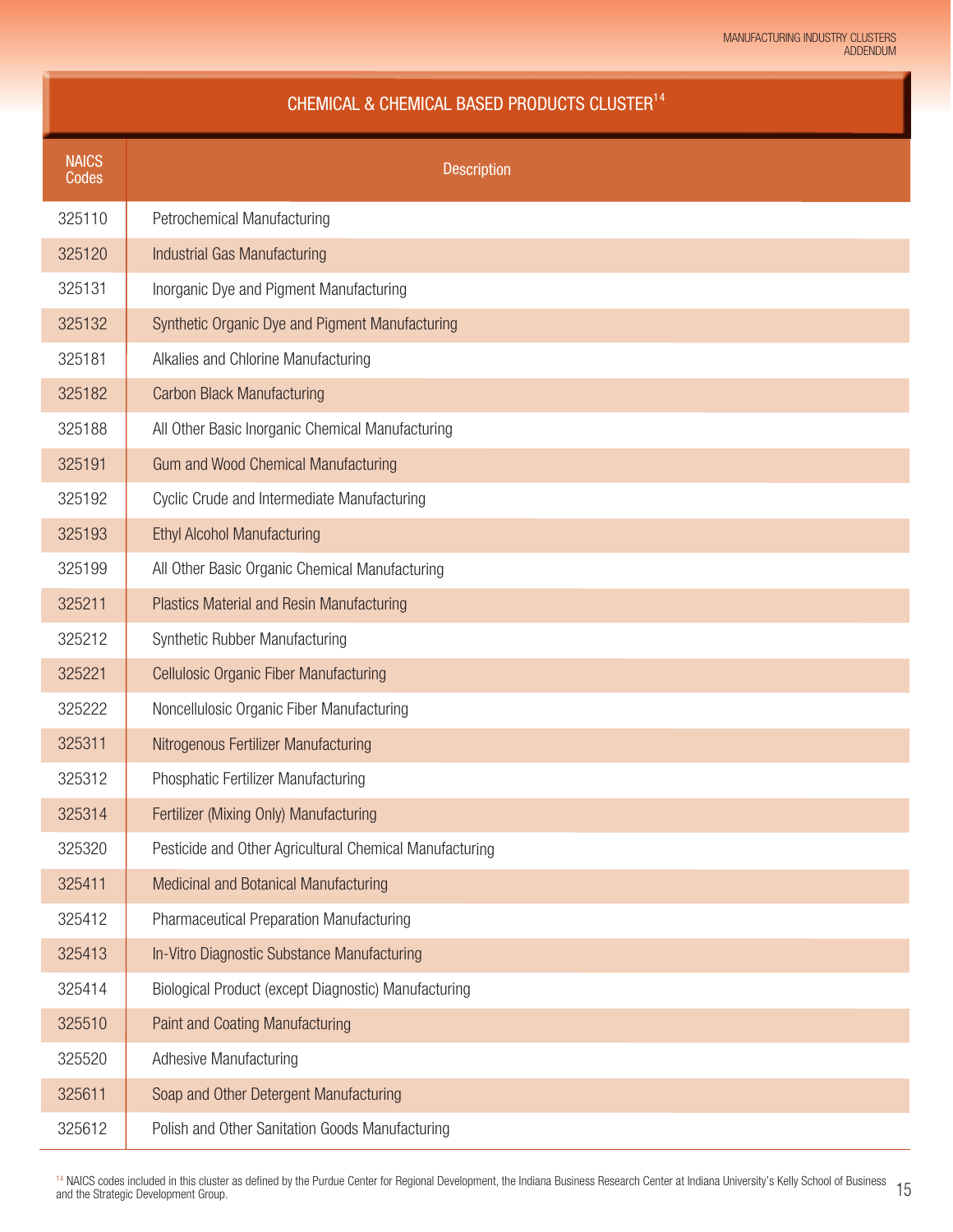# CHEMICAL & CHEMICAL BASED PRODUCTS CLUSTER<sup>14</sup>

| <b>NAICS</b><br><b>Codes</b> | <b>Description</b>                                      |
|------------------------------|---------------------------------------------------------|
| 325110                       | Petrochemical Manufacturing                             |
| 325120                       | <b>Industrial Gas Manufacturing</b>                     |
| 325131                       | Inorganic Dye and Pigment Manufacturing                 |
| 325132                       | Synthetic Organic Dye and Pigment Manufacturing         |
| 325181                       | Alkalies and Chlorine Manufacturing                     |
| 325182                       | <b>Carbon Black Manufacturing</b>                       |
| 325188                       | All Other Basic Inorganic Chemical Manufacturing        |
| 325191                       | Gum and Wood Chemical Manufacturing                     |
| 325192                       | Cyclic Crude and Intermediate Manufacturing             |
| 325193                       | <b>Ethyl Alcohol Manufacturing</b>                      |
| 325199                       | All Other Basic Organic Chemical Manufacturing          |
| 325211                       | <b>Plastics Material and Resin Manufacturing</b>        |
| 325212                       | Synthetic Rubber Manufacturing                          |
| 325221                       | <b>Cellulosic Organic Fiber Manufacturing</b>           |
| 325222                       | Noncellulosic Organic Fiber Manufacturing               |
| 325311                       | Nitrogenous Fertilizer Manufacturing                    |
| 325312                       | Phosphatic Fertilizer Manufacturing                     |
| 325314                       | Fertilizer (Mixing Only) Manufacturing                  |
| 325320                       | Pesticide and Other Agricultural Chemical Manufacturing |
| 325411                       | Medicinal and Botanical Manufacturing                   |
| 325412                       | Pharmaceutical Preparation Manufacturing                |
| 325413                       | In-Vitro Diagnostic Substance Manufacturing             |
| 325414                       | Biological Product (except Diagnostic) Manufacturing    |
| 325510                       | <b>Paint and Coating Manufacturing</b>                  |
| 325520                       | Adhesive Manufacturing                                  |
| 325611                       | Soap and Other Detergent Manufacturing                  |
| 325612                       | Polish and Other Sanitation Goods Manufacturing         |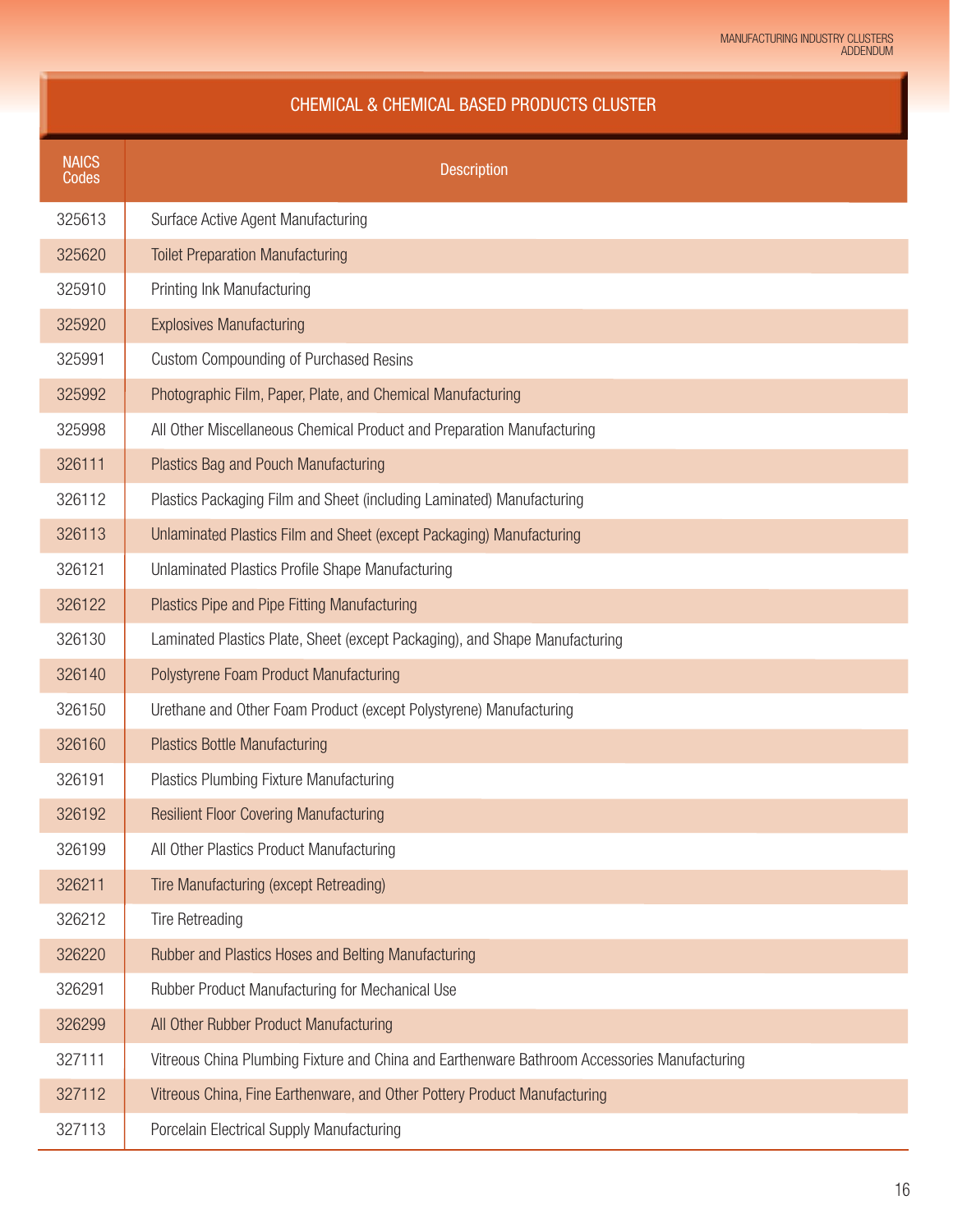### CHEMICAL & CHEMICAL BASED PRODUCTS CLUSTER

| <b>NAICS</b><br><b>Codes</b> | <b>Description</b>                                                                           |
|------------------------------|----------------------------------------------------------------------------------------------|
| 325613                       | Surface Active Agent Manufacturing                                                           |
| 325620                       | <b>Toilet Preparation Manufacturing</b>                                                      |
| 325910                       | Printing Ink Manufacturing                                                                   |
| 325920                       | <b>Explosives Manufacturing</b>                                                              |
| 325991                       | <b>Custom Compounding of Purchased Resins</b>                                                |
| 325992                       | Photographic Film, Paper, Plate, and Chemical Manufacturing                                  |
| 325998                       | All Other Miscellaneous Chemical Product and Preparation Manufacturing                       |
| 326111                       | <b>Plastics Bag and Pouch Manufacturing</b>                                                  |
| 326112                       | Plastics Packaging Film and Sheet (including Laminated) Manufacturing                        |
| 326113                       | Unlaminated Plastics Film and Sheet (except Packaging) Manufacturing                         |
| 326121                       | Unlaminated Plastics Profile Shape Manufacturing                                             |
| 326122                       | Plastics Pipe and Pipe Fitting Manufacturing                                                 |
| 326130                       | Laminated Plastics Plate, Sheet (except Packaging), and Shape Manufacturing                  |
| 326140                       | Polystyrene Foam Product Manufacturing                                                       |
| 326150                       | Urethane and Other Foam Product (except Polystyrene) Manufacturing                           |
| 326160                       | <b>Plastics Bottle Manufacturing</b>                                                         |
| 326191                       | <b>Plastics Plumbing Fixture Manufacturing</b>                                               |
| 326192                       | <b>Resilient Floor Covering Manufacturing</b>                                                |
| 326199                       | All Other Plastics Product Manufacturing                                                     |
| 326211                       | Tire Manufacturing (except Retreading)                                                       |
| 326212                       | <b>Tire Retreading</b>                                                                       |
| 326220                       | Rubber and Plastics Hoses and Belting Manufacturing                                          |
| 326291                       | Rubber Product Manufacturing for Mechanical Use                                              |
| 326299                       | All Other Rubber Product Manufacturing                                                       |
| 327111                       | Vitreous China Plumbing Fixture and China and Earthenware Bathroom Accessories Manufacturing |
| 327112                       | Vitreous China, Fine Earthenware, and Other Pottery Product Manufacturing                    |
| 327113                       | Porcelain Electrical Supply Manufacturing                                                    |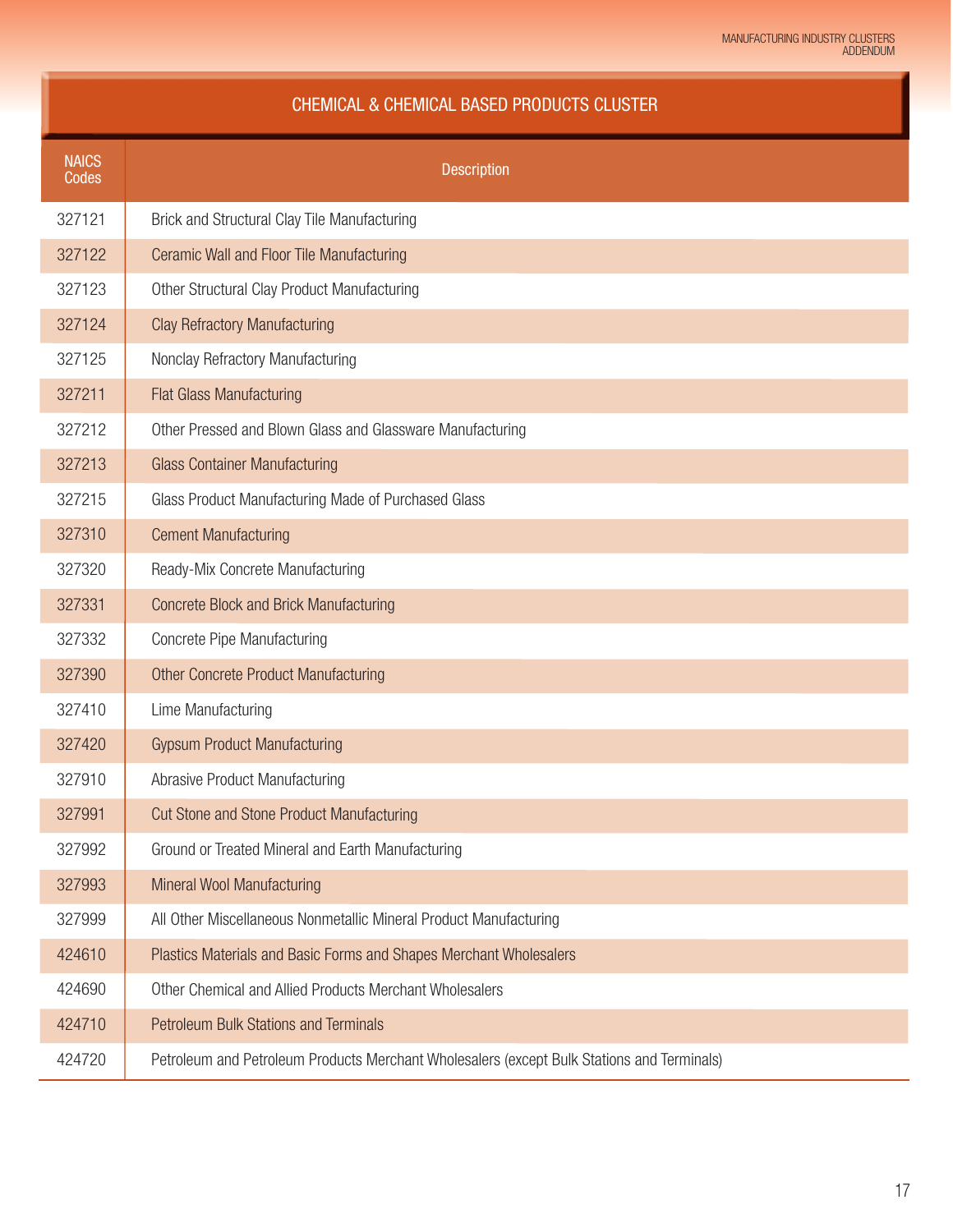## CHEMICAL & CHEMICAL BASED PRODUCTS CLUSTER

| <b>NAICS</b><br><b>Codes</b> | <b>Description</b>                                                                         |
|------------------------------|--------------------------------------------------------------------------------------------|
| 327121                       | Brick and Structural Clay Tile Manufacturing                                               |
| 327122                       | Ceramic Wall and Floor Tile Manufacturing                                                  |
| 327123                       | Other Structural Clay Product Manufacturing                                                |
| 327124                       | <b>Clay Refractory Manufacturing</b>                                                       |
| 327125                       | Nonclay Refractory Manufacturing                                                           |
| 327211                       | <b>Flat Glass Manufacturing</b>                                                            |
| 327212                       | Other Pressed and Blown Glass and Glassware Manufacturing                                  |
| 327213                       | <b>Glass Container Manufacturing</b>                                                       |
| 327215                       | Glass Product Manufacturing Made of Purchased Glass                                        |
| 327310                       | <b>Cement Manufacturing</b>                                                                |
| 327320                       | Ready-Mix Concrete Manufacturing                                                           |
| 327331                       | <b>Concrete Block and Brick Manufacturing</b>                                              |
| 327332                       | Concrete Pipe Manufacturing                                                                |
| 327390                       | <b>Other Concrete Product Manufacturing</b>                                                |
| 327410                       | Lime Manufacturing                                                                         |
| 327420                       | <b>Gypsum Product Manufacturing</b>                                                        |
| 327910                       | Abrasive Product Manufacturing                                                             |
| 327991                       | <b>Cut Stone and Stone Product Manufacturing</b>                                           |
| 327992                       | Ground or Treated Mineral and Earth Manufacturing                                          |
| 327993                       | <b>Mineral Wool Manufacturing</b>                                                          |
| 327999                       | All Other Miscellaneous Nonmetallic Mineral Product Manufacturing                          |
| 424610                       | Plastics Materials and Basic Forms and Shapes Merchant Wholesalers                         |
| 424690                       | Other Chemical and Allied Products Merchant Wholesalers                                    |
| 424710                       | <b>Petroleum Bulk Stations and Terminals</b>                                               |
| 424720                       | Petroleum and Petroleum Products Merchant Wholesalers (except Bulk Stations and Terminals) |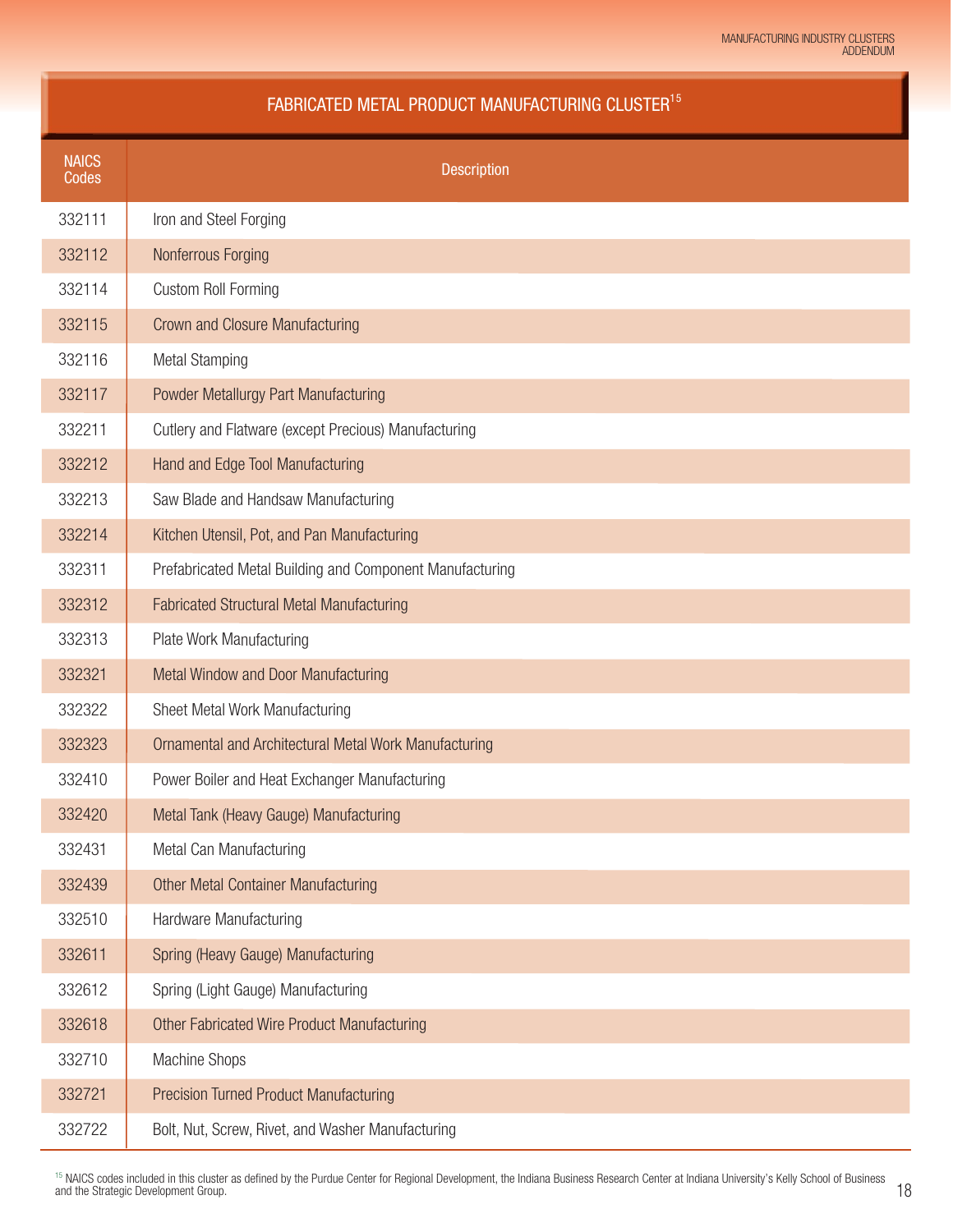# FABRICATED METAL PRODUCT MANUFACTURING CLUSTER<sup>15</sup>

| <b>NAICS</b><br><b>Codes</b> | <b>Description</b>                                       |
|------------------------------|----------------------------------------------------------|
| 332111                       | Iron and Steel Forging                                   |
| 332112                       | <b>Nonferrous Forging</b>                                |
| 332114                       | <b>Custom Roll Forming</b>                               |
| 332115                       | <b>Crown and Closure Manufacturing</b>                   |
| 332116                       | <b>Metal Stamping</b>                                    |
| 332117                       | Powder Metallurgy Part Manufacturing                     |
| 332211                       | Cutlery and Flatware (except Precious) Manufacturing     |
| 332212                       | Hand and Edge Tool Manufacturing                         |
| 332213                       | Saw Blade and Handsaw Manufacturing                      |
| 332214                       | Kitchen Utensil, Pot, and Pan Manufacturing              |
| 332311                       | Prefabricated Metal Building and Component Manufacturing |
| 332312                       | <b>Fabricated Structural Metal Manufacturing</b>         |
| 332313                       | Plate Work Manufacturing                                 |
| 332321                       | Metal Window and Door Manufacturing                      |
| 332322                       | Sheet Metal Work Manufacturing                           |
| 332323                       | Ornamental and Architectural Metal Work Manufacturing    |
| 332410                       | Power Boiler and Heat Exchanger Manufacturing            |
| 332420                       | Metal Tank (Heavy Gauge) Manufacturing                   |
| 332431                       | Metal Can Manufacturing                                  |
| 332439                       | <b>Other Metal Container Manufacturing</b>               |
| 332510                       | Hardware Manufacturing                                   |
| 332611                       | Spring (Heavy Gauge) Manufacturing                       |
| 332612                       | Spring (Light Gauge) Manufacturing                       |
| 332618                       | Other Fabricated Wire Product Manufacturing              |
| 332710                       | Machine Shops                                            |
| 332721                       | <b>Precision Turned Product Manufacturing</b>            |
| 332722                       | Bolt, Nut, Screw, Rivet, and Washer Manufacturing        |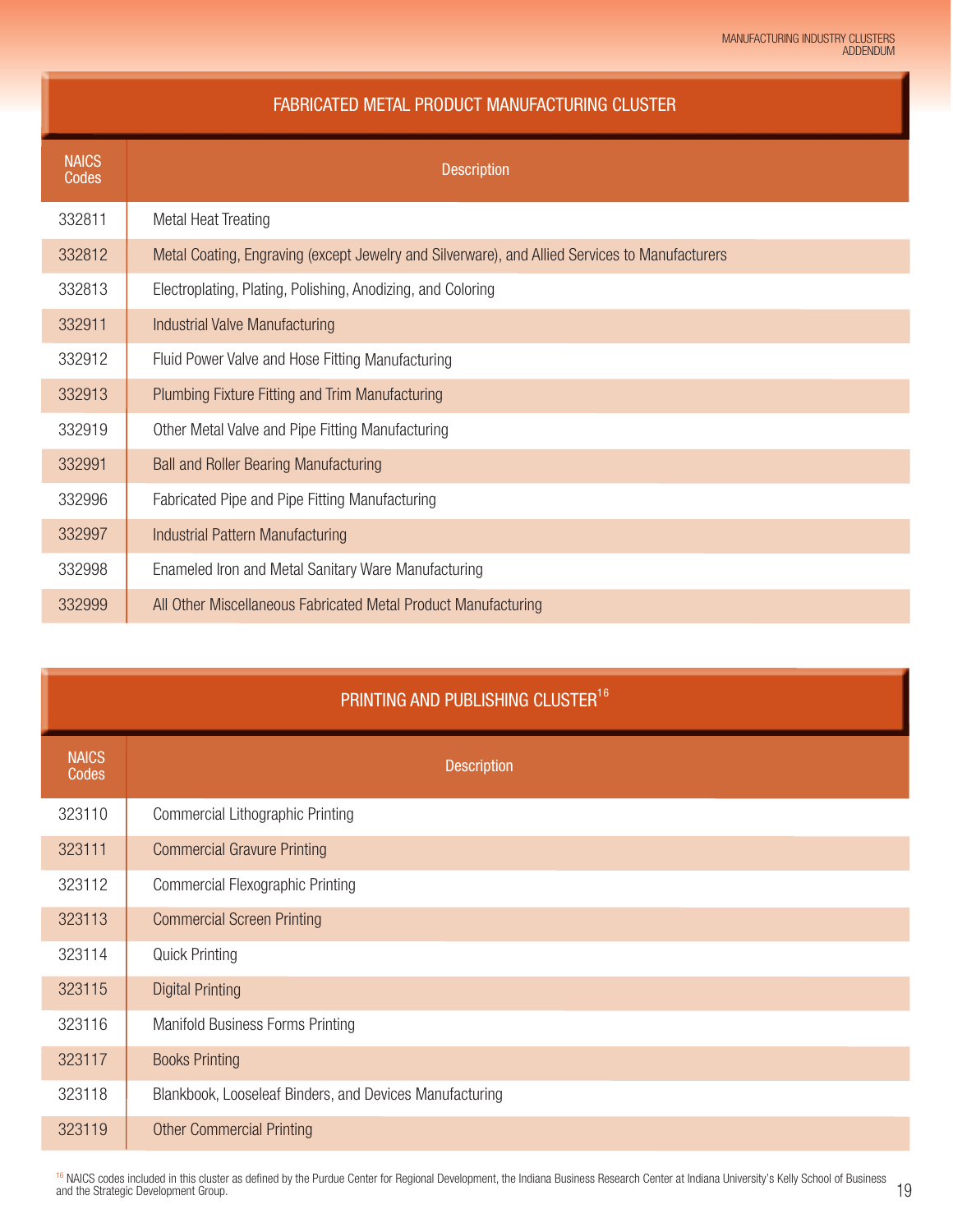### FABRICATED METAL PRODUCT MANUFACTURING CLUSTER

| <b>NAICS</b><br><b>Codes</b> | <b>Description</b>                                                                             |  |
|------------------------------|------------------------------------------------------------------------------------------------|--|
| 332811                       | Metal Heat Treating                                                                            |  |
| 332812                       | Metal Coating, Engraving (except Jewelry and Silverware), and Allied Services to Manufacturers |  |
| 332813                       | Electroplating, Plating, Polishing, Anodizing, and Coloring                                    |  |
| 332911                       | <b>Industrial Valve Manufacturing</b>                                                          |  |
| 332912                       | Fluid Power Valve and Hose Fitting Manufacturing                                               |  |
| 332913                       | Plumbing Fixture Fitting and Trim Manufacturing                                                |  |
| 332919                       | Other Metal Valve and Pipe Fitting Manufacturing                                               |  |
| 332991                       | <b>Ball and Roller Bearing Manufacturing</b>                                                   |  |
| 332996                       | Fabricated Pipe and Pipe Fitting Manufacturing                                                 |  |
| 332997                       | <b>Industrial Pattern Manufacturing</b>                                                        |  |
| 332998                       | Enameled Iron and Metal Sanitary Ware Manufacturing                                            |  |
| 332999                       | All Other Miscellaneous Fabricated Metal Product Manufacturing                                 |  |

| PRINTING AND PUBLISHING CLUSTER <sup>16</sup> |                                                         |
|-----------------------------------------------|---------------------------------------------------------|
| <b>NAICS</b><br>Codes                         | <b>Description</b>                                      |
| 323110                                        | <b>Commercial Lithographic Printing</b>                 |
| 323111                                        | <b>Commercial Gravure Printing</b>                      |
| 323112                                        | Commercial Flexographic Printing                        |
| 323113                                        | <b>Commercial Screen Printing</b>                       |
| 323114                                        | <b>Quick Printing</b>                                   |
| 323115                                        | <b>Digital Printing</b>                                 |
| 323116                                        | <b>Manifold Business Forms Printing</b>                 |
| 323117                                        | <b>Books Printing</b>                                   |
| 323118                                        | Blankbook, Looseleaf Binders, and Devices Manufacturing |
| 323119                                        | <b>Other Commercial Printing</b>                        |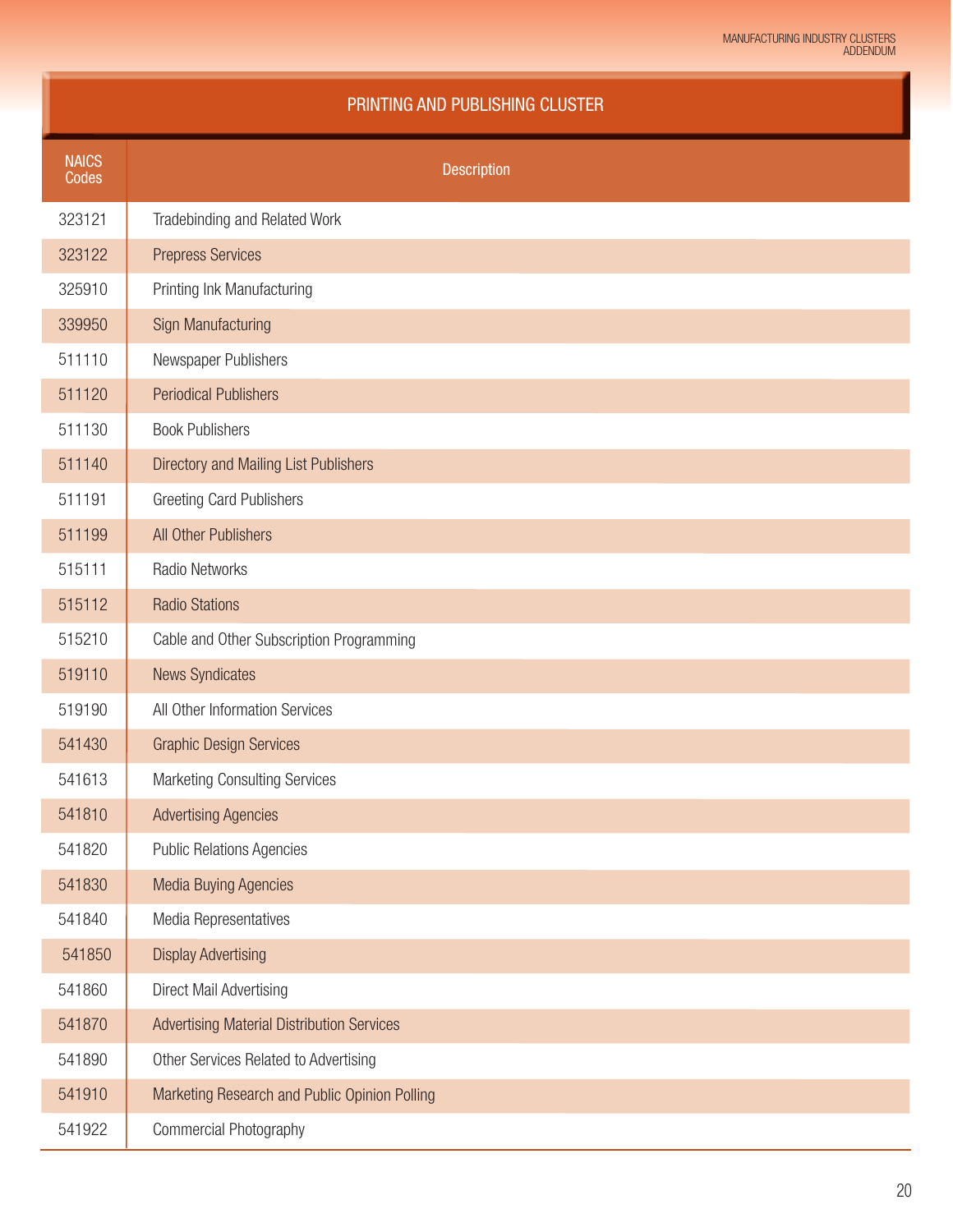| PRINTING AND PUBLISHING CLUSTER |                                                   |
|---------------------------------|---------------------------------------------------|
| <b>NAICS</b><br><b>Codes</b>    | <b>Description</b>                                |
| 323121                          | Tradebinding and Related Work                     |
| 323122                          | <b>Prepress Services</b>                          |
| 325910                          | Printing Ink Manufacturing                        |
| 339950                          | Sign Manufacturing                                |
| 511110                          | Newspaper Publishers                              |
| 511120                          | <b>Periodical Publishers</b>                      |
| 511130                          | <b>Book Publishers</b>                            |
| 511140                          | Directory and Mailing List Publishers             |
| 511191                          | <b>Greeting Card Publishers</b>                   |
| 511199                          | All Other Publishers                              |
| 515111                          | <b>Radio Networks</b>                             |
| 515112                          | <b>Radio Stations</b>                             |
| 515210                          | Cable and Other Subscription Programming          |
| 519110                          | <b>News Syndicates</b>                            |
| 519190                          | All Other Information Services                    |
| 541430                          | <b>Graphic Design Services</b>                    |
| 541613                          | <b>Marketing Consulting Services</b>              |
| 541810                          | <b>Advertising Agencies</b>                       |
| 541820                          | <b>Public Relations Agencies</b>                  |
| 541830                          | Media Buying Agencies                             |
| 541840                          | Media Representatives                             |
| 541850                          | <b>Display Advertising</b>                        |
| 541860                          | Direct Mail Advertising                           |
| 541870                          | <b>Advertising Material Distribution Services</b> |
| 541890                          | Other Services Related to Advertising             |
| 541910                          | Marketing Research and Public Opinion Polling     |
| 541922                          | Commercial Photography                            |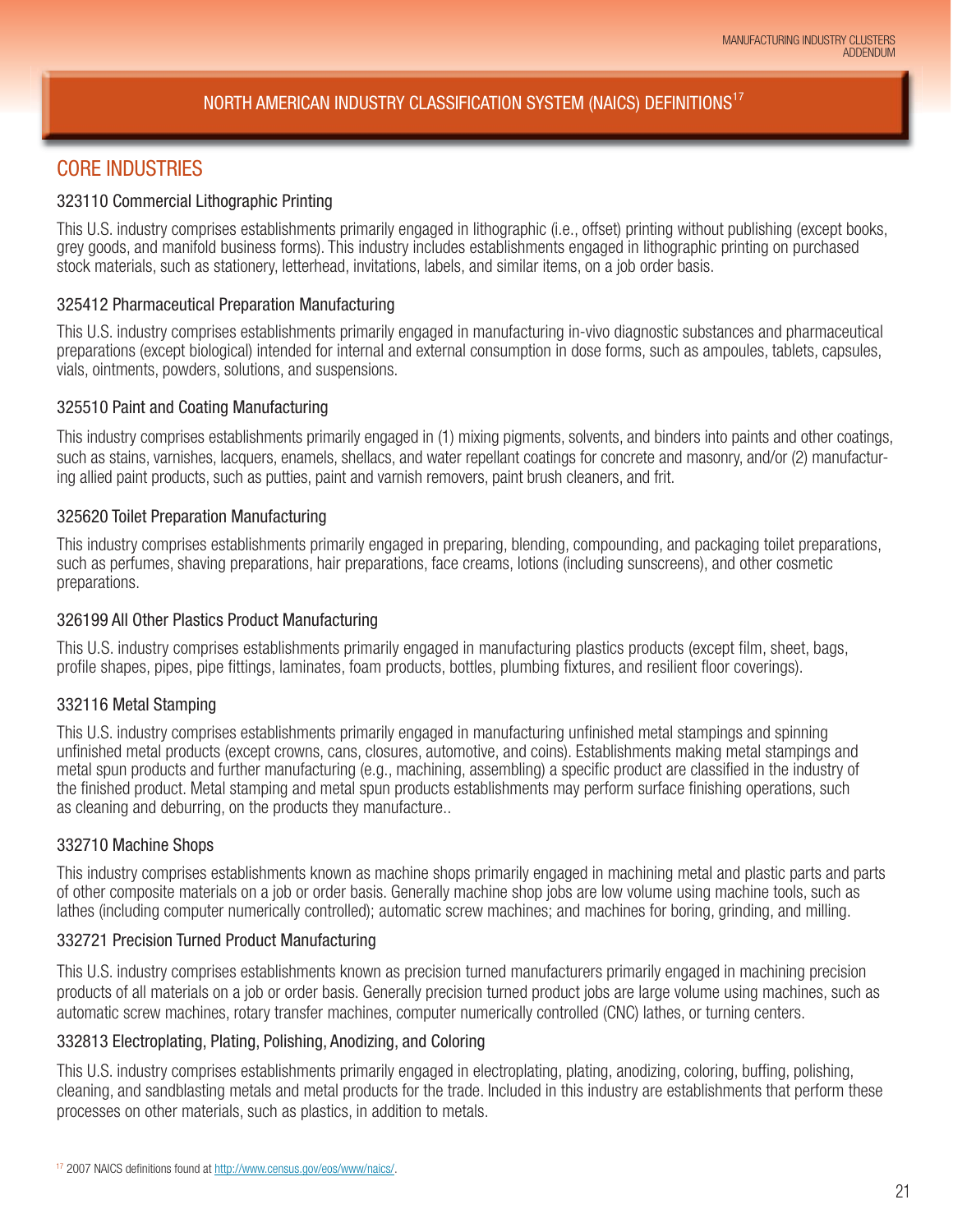## CORE INDUSTRIES

#### 323110 Commercial Lithographic Printing

This U.S. industry comprises establishments primarily engaged in lithographic (i.e., offset) printing without publishing (except books, grey goods, and manifold business forms). This industry includes establishments engaged in lithographic printing on purchased stock materials, such as stationery, letterhead, invitations, labels, and similar items, on a job order basis.

#### 325412 Pharmaceutical Preparation Manufacturing

This U.S. industry comprises establishments primarily engaged in manufacturing in-vivo diagnostic substances and pharmaceutical preparations (except biological) intended for internal and external consumption in dose forms, such as ampoules, tablets, capsules, vials, ointments, powders, solutions, and suspensions.

#### 325510 Paint and Coating Manufacturing

This industry comprises establishments primarily engaged in (1) mixing pigments, solvents, and binders into paints and other coatings, such as stains, varnishes, lacquers, enamels, shellacs, and water repellant coatings for concrete and masonry, and/or (2) manufacturing allied paint products, such as putties, paint and varnish removers, paint brush cleaners, and frit.

#### 325620 Toilet Preparation Manufacturing

This industry comprises establishments primarily engaged in preparing, blending, compounding, and packaging toilet preparations, such as perfumes, shaving preparations, hair preparations, face creams, lotions (including sunscreens), and other cosmetic preparations.

#### 326199 All Other Plastics Product Manufacturing

This U.S. industry comprises establishments primarily engaged in manufacturing plastics products (except film, sheet, bags, profile shapes, pipes, pipe fittings, laminates, foam products, bottles, plumbing fixtures, and resilient floor coverings).

#### 332116 Metal Stamping

This U.S. industry comprises establishments primarily engaged in manufacturing unfinished metal stampings and spinning unfinished metal products (except crowns, cans, closures, automotive, and coins). Establishments making metal stampings and metal spun products and further manufacturing (e.g., machining, assembling) a specific product are classified in the industry of the finished product. Metal stamping and metal spun products establishments may perform surface finishing operations, such as cleaning and deburring, on the products they manufacture..

#### 332710 Machine Shops

This industry comprises establishments known as machine shops primarily engaged in machining metal and plastic parts and parts of other composite materials on a job or order basis. Generally machine shop jobs are low volume using machine tools, such as lathes (including computer numerically controlled); automatic screw machines; and machines for boring, grinding, and milling.

#### 332721 Precision Turned Product Manufacturing

This U.S. industry comprises establishments known as precision turned manufacturers primarily engaged in machining precision products of all materials on a job or order basis. Generally precision turned product jobs are large volume using machines, such as automatic screw machines, rotary transfer machines, computer numerically controlled (CNC) lathes, or turning centers.

### 332813 Electroplating, Plating, Polishing, Anodizing, and Coloring

This U.S. industry comprises establishments primarily engaged in electroplating, plating, anodizing, coloring, buffing, polishing, cleaning, and sandblasting metals and metal products for the trade. Included in this industry are establishments that perform these processes on other materials, such as plastics, in addition to metals.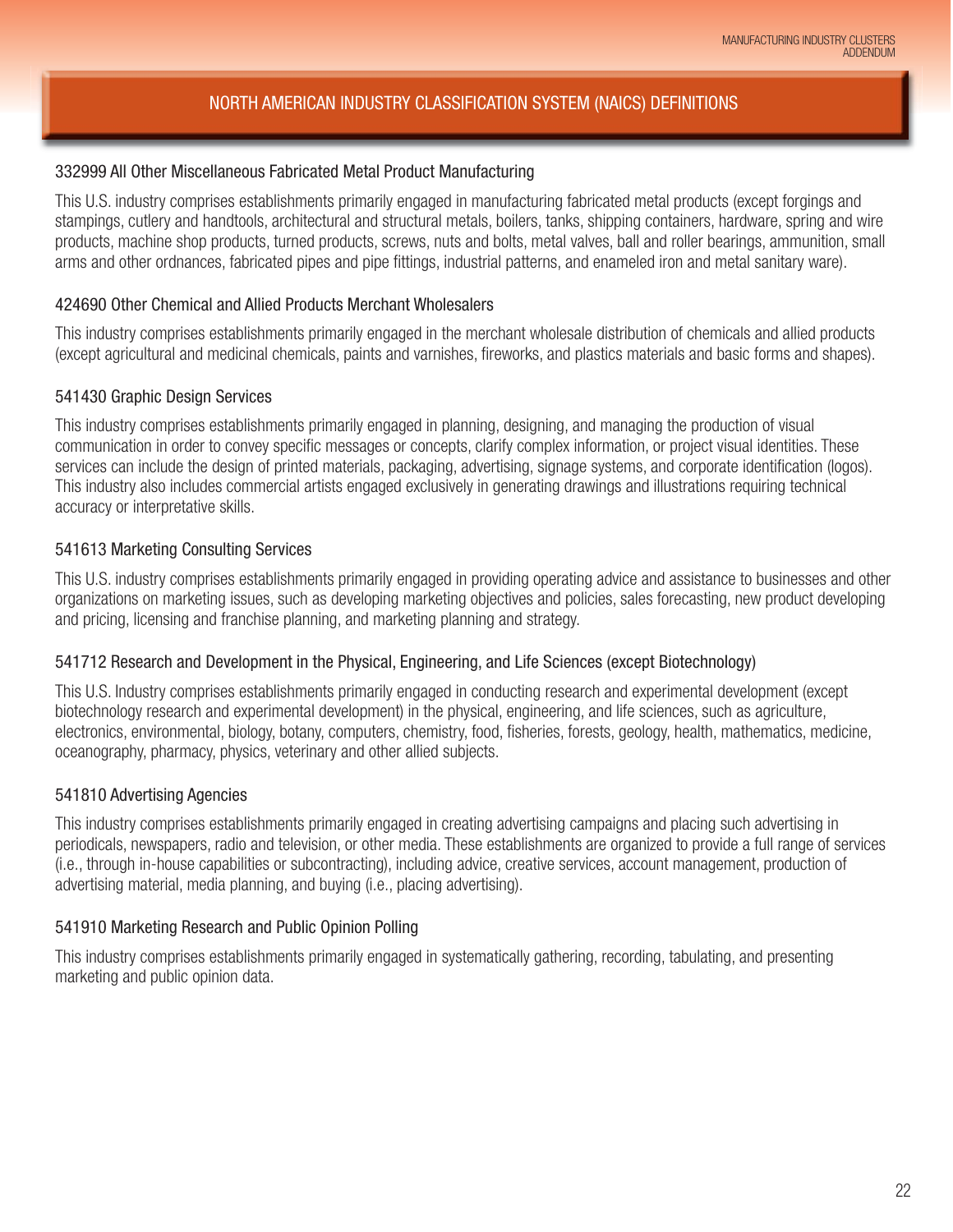#### 332999 All Other Miscellaneous Fabricated Metal Product Manufacturing

This U.S. industry comprises establishments primarily engaged in manufacturing fabricated metal products (except forgings and stampings, cutlery and handtools, architectural and structural metals, boilers, tanks, shipping containers, hardware, spring and wire products, machine shop products, turned products, screws, nuts and bolts, metal valves, ball and roller bearings, ammunition, small arms and other ordnances, fabricated pipes and pipe fittings, industrial patterns, and enameled iron and metal sanitary ware).

#### 424690 Other Chemical and Allied Products Merchant Wholesalers

This industry comprises establishments primarily engaged in the merchant wholesale distribution of chemicals and allied products (except agricultural and medicinal chemicals, paints and varnishes, fireworks, and plastics materials and basic forms and shapes).

#### 541430 Graphic Design Services

This industry comprises establishments primarily engaged in planning, designing, and managing the production of visual communication in order to convey specific messages or concepts, clarify complex information, or project visual identities. These services can include the design of printed materials, packaging, advertising, signage systems, and corporate identification (logos). This industry also includes commercial artists engaged exclusively in generating drawings and illustrations requiring technical accuracy or interpretative skills.

#### 541613 Marketing Consulting Services

This U.S. industry comprises establishments primarily engaged in providing operating advice and assistance to businesses and other organizations on marketing issues, such as developing marketing objectives and policies, sales forecasting, new product developing and pricing, licensing and franchise planning, and marketing planning and strategy.

#### 541712 Research and Development in the Physical, Engineering, and Life Sciences (except Biotechnology)

This U.S. Industry comprises establishments primarily engaged in conducting research and experimental development (except biotechnology research and experimental development) in the physical, engineering, and life sciences, such as agriculture, electronics, environmental, biology, botany, computers, chemistry, food, fisheries, forests, geology, health, mathematics, medicine, oceanography, pharmacy, physics, veterinary and other allied subjects.

#### 541810 Advertising Agencies

This industry comprises establishments primarily engaged in creating advertising campaigns and placing such advertising in periodicals, newspapers, radio and television, or other media. These establishments are organized to provide a full range of services (i.e., through in-house capabilities or subcontracting), including advice, creative services, account management, production of advertising material, media planning, and buying (i.e., placing advertising).

#### 541910 Marketing Research and Public Opinion Polling

This industry comprises establishments primarily engaged in systematically gathering, recording, tabulating, and presenting marketing and public opinion data.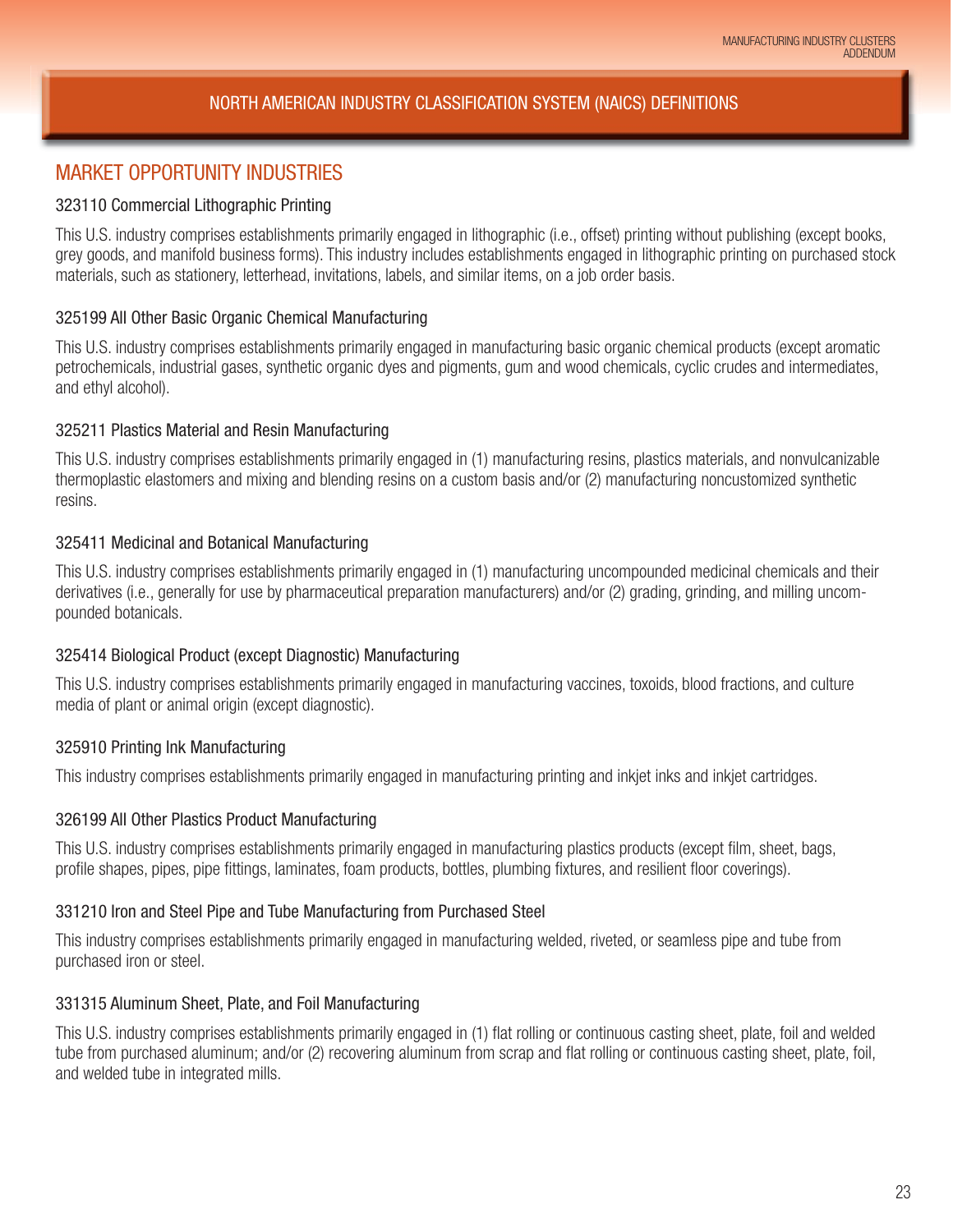## MARKET OPPORTUNITY INDUSTRIES

### 323110 Commercial Lithographic Printing

This U.S. industry comprises establishments primarily engaged in lithographic (i.e., offset) printing without publishing (except books, grey goods, and manifold business forms). This industry includes establishments engaged in lithographic printing on purchased stock materials, such as stationery, letterhead, invitations, labels, and similar items, on a job order basis.

#### 325199 All Other Basic Organic Chemical Manufacturing

This U.S. industry comprises establishments primarily engaged in manufacturing basic organic chemical products (except aromatic petrochemicals, industrial gases, synthetic organic dyes and pigments, gum and wood chemicals, cyclic crudes and intermediates, and ethyl alcohol).

#### 325211 Plastics Material and Resin Manufacturing

This U.S. industry comprises establishments primarily engaged in (1) manufacturing resins, plastics materials, and nonvulcanizable thermoplastic elastomers and mixing and blending resins on a custom basis and/or (2) manufacturing noncustomized synthetic resins.

### 325411 Medicinal and Botanical Manufacturing

This U.S. industry comprises establishments primarily engaged in (1) manufacturing uncompounded medicinal chemicals and their derivatives (i.e., generally for use by pharmaceutical preparation manufacturers) and/or (2) grading, grinding, and milling uncompounded botanicals.

#### 325414 Biological Product (except Diagnostic) Manufacturing

This U.S. industry comprises establishments primarily engaged in manufacturing vaccines, toxoids, blood fractions, and culture media of plant or animal origin (except diagnostic).

### 325910 Printing Ink Manufacturing

This industry comprises establishments primarily engaged in manufacturing printing and inkjet inks and inkjet cartridges.

#### 326199 All Other Plastics Product Manufacturing

This U.S. industry comprises establishments primarily engaged in manufacturing plastics products (except film, sheet, bags, profile shapes, pipes, pipe fittings, laminates, foam products, bottles, plumbing fixtures, and resilient floor coverings).

#### 331210 Iron and Steel Pipe and Tube Manufacturing from Purchased Steel

This industry comprises establishments primarily engaged in manufacturing welded, riveted, or seamless pipe and tube from purchased iron or steel.

### 331315 Aluminum Sheet, Plate, and Foil Manufacturing

This U.S. industry comprises establishments primarily engaged in (1) flat rolling or continuous casting sheet, plate, foil and welded tube from purchased aluminum; and/or (2) recovering aluminum from scrap and flat rolling or continuous casting sheet, plate, foil, and welded tube in integrated mills.